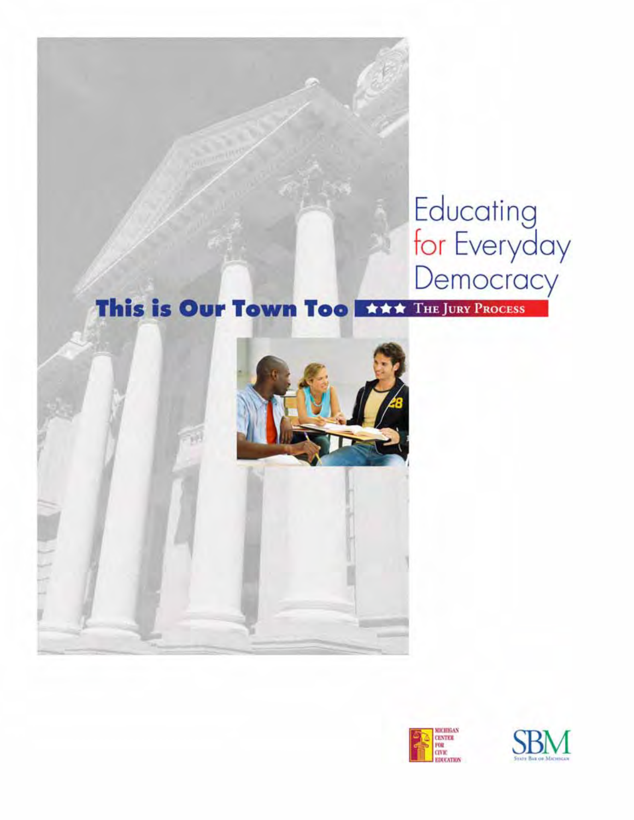# Educating<br>for Everyday<br>Democracy

# This is Our Town Too First THE JURY PROCESS





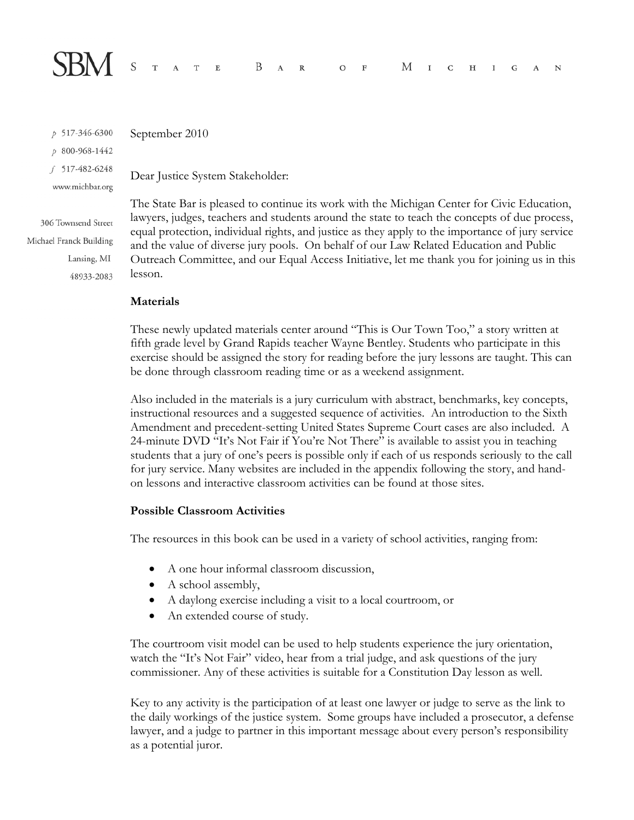

p 517-346-6300 p 800-968-1442 f 517-482-6248 www.michbar.org

306 Townsend Street Michael Franck Building Lansing, MI 48933-2083

September 2010

Dear Justice System Stakeholder:

The State Bar is pleased to continue its work with the Michigan Center for Civic Education, lawyers, judges, teachers and students around the state to teach the concepts of due process, equal protection, individual rights, and justice as they apply to the importance of jury service and the value of diverse jury pools. On behalf of our Law Related Education and Public Outreach Committee, and our Equal Access Initiative, let me thank you for joining us in this lesson.

#### **Materials**

These newly updated materials center around "This is Our Town Too," a story written at fifth grade level by Grand Rapids teacher Wayne Bentley. Students who participate in this exercise should be assigned the story for reading before the jury lessons are taught. This can be done through classroom reading time or as a weekend assignment.

Also included in the materials is a jury curriculum with abstract, benchmarks, key concepts, instructional resources and a suggested sequence of activities. An introduction to the Sixth Amendment and precedent-setting United States Supreme Court cases are also included. A 24-minute DVD "It's Not Fair if You're Not There" is available to assist you in teaching students that a jury of one's peers is possible only if each of us responds seriously to the call for jury service. Many websites are included in the appendix following the story, and handon lessons and interactive classroom activities can be found at those sites.

#### **Possible Classroom Activities**

The resources in this book can be used in a variety of school activities, ranging from:

- A one hour informal classroom discussion,
- A school assembly,
- A daylong exercise including a visit to a local courtroom, or
- An extended course of study.

The courtroom visit model can be used to help students experience the jury orientation, watch the "It's Not Fair" video, hear from a trial judge, and ask questions of the jury commissioner. Any of these activities is suitable for a Constitution Day lesson as well.

Key to any activity is the participation of at least one lawyer or judge to serve as the link to the daily workings of the justice system. Some groups have included a prosecutor, a defense lawyer, and a judge to partner in this important message about every person's responsibility as a potential juror.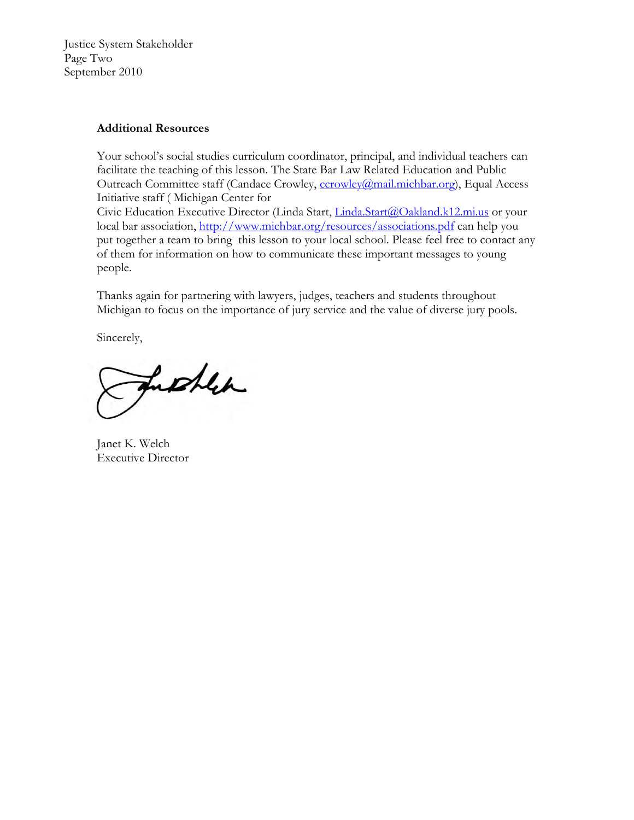Justice System Stakeholder Page Two September 2010

#### **Additional Resources**

Your school's social studies curriculum coordinator, principal, and individual teachers can facilitate the teaching of this lesson. The State Bar Law Related Education and Public Outreach Committee staff (Candace Crowley, ccrowley@mail.michbar.org), Equal Access Initiative staff ( Michigan Center for Civic Education Executive Director (Linda Start, Linda.Start@Oakland.k12.mi.us or your local bar association, http://www.michbar.org/resources/associations.pdf can help you put together a team to bring this lesson to your local school. Please feel free to contact any of them for information on how to communicate these important messages to young people.

Thanks again for partnering with lawyers, judges, teachers and students throughout Michigan to focus on the importance of jury service and the value of diverse jury pools.

Sincerely,

further

Janet K. Welch Executive Director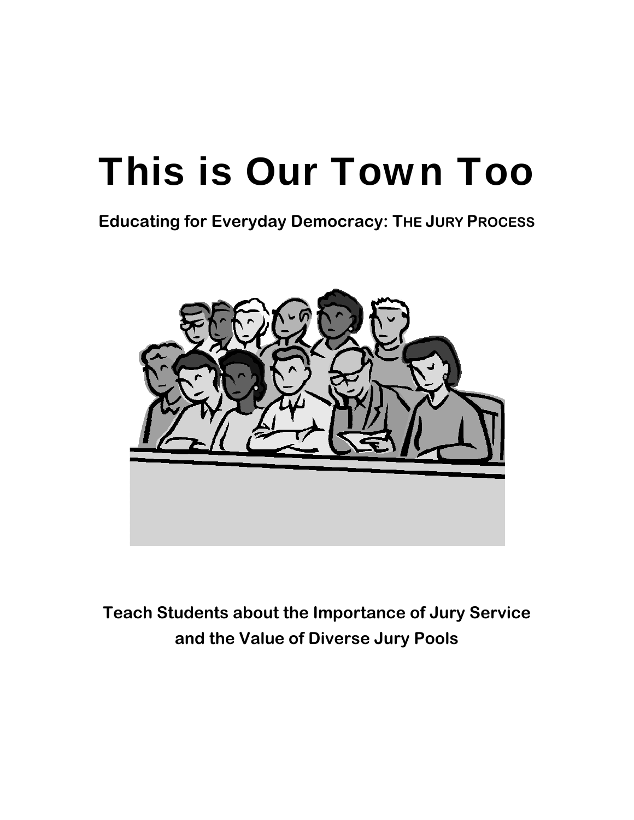**Educating for Everyday Democracy: THE JURY PROCESS**



**Teach Students about the Importance of Jury Service and the Value of Diverse Jury Pools**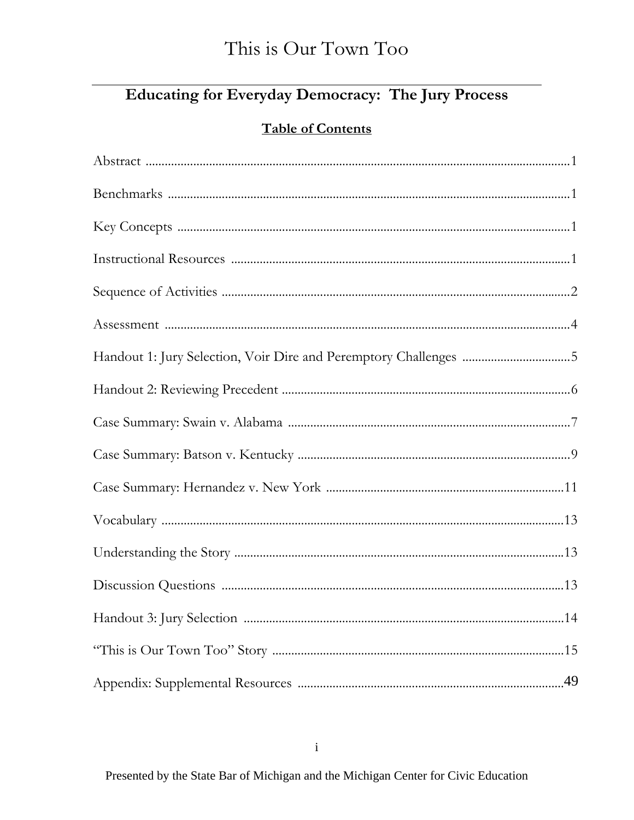# **Educating for Everyday Democracy: The Jury Process**

# **Table of Contents**

| Handout 1: Jury Selection, Voir Dire and Peremptory Challenges 5 |  |
|------------------------------------------------------------------|--|
|                                                                  |  |
|                                                                  |  |
|                                                                  |  |
|                                                                  |  |
|                                                                  |  |
|                                                                  |  |
|                                                                  |  |
|                                                                  |  |
|                                                                  |  |
|                                                                  |  |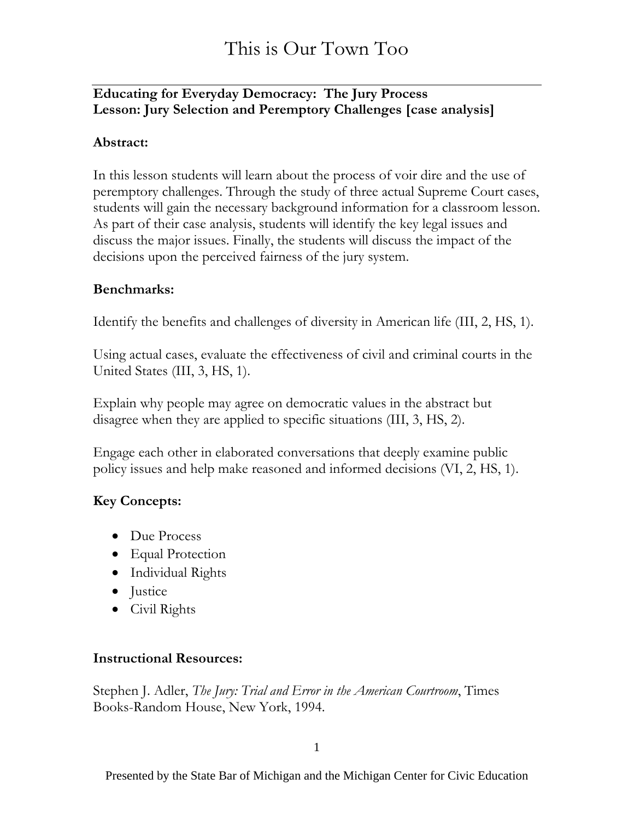#### **Educating for Everyday Democracy: The Jury Process Lesson: Jury Selection and Peremptory Challenges [case analysis]**

#### **Abstract:**

In this lesson students will learn about the process of voir dire and the use of peremptory challenges. Through the study of three actual Supreme Court cases, students will gain the necessary background information for a classroom lesson. As part of their case analysis, students will identify the key legal issues and discuss the major issues. Finally, the students will discuss the impact of the decisions upon the perceived fairness of the jury system.

#### **Benchmarks:**

Identify the benefits and challenges of diversity in American life (III, 2, HS, 1).

Using actual cases, evaluate the effectiveness of civil and criminal courts in the United States (III, 3, HS, 1).

Explain why people may agree on democratic values in the abstract but disagree when they are applied to specific situations (III, 3, HS, 2).

Engage each other in elaborated conversations that deeply examine public policy issues and help make reasoned and informed decisions (VI, 2, HS, 1).

#### **Key Concepts:**

- Due Process
- Equal Protection
- Individual Rights
- Justice
- Civil Rights

#### **Instructional Resources:**

Stephen J. Adler, *The Jury: Trial and Error in the American Courtroom*, Times Books-Random House, New York, 1994.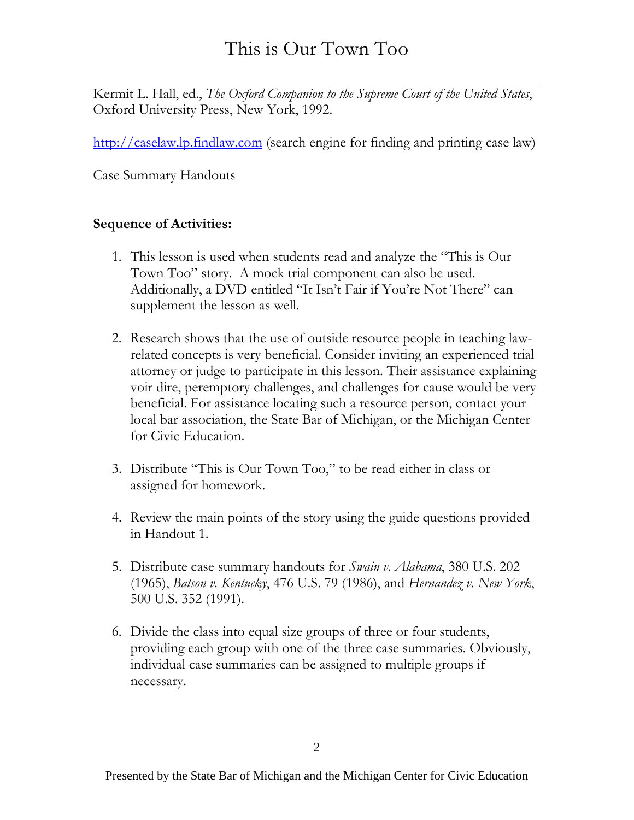Kermit L. Hall, ed., *The Oxford Companion to the Supreme Court of the United States*, Oxford University Press, New York, 1992.

[http://caselaw.lp.findlaw.com](http://caselaw.lp.findlaw.com/) (search engine for finding and printing case law)

Case Summary Handouts

#### **Sequence of Activities:**

- 1. This lesson is used when students read and analyze the "This is Our Town Too" story. A mock trial component can also be used. Additionally, a DVD entitled "It Isn't Fair if You're Not There" can supplement the lesson as well.
- 2. Research shows that the use of outside resource people in teaching lawrelated concepts is very beneficial. Consider inviting an experienced trial attorney or judge to participate in this lesson. Their assistance explaining voir dire, peremptory challenges, and challenges for cause would be very beneficial. For assistance locating such a resource person, contact your local bar association, the State Bar of Michigan, or the Michigan Center for Civic Education.
- 3. Distribute "This is Our Town Too," to be read either in class or assigned for homework.
- 4. Review the main points of the story using the guide questions provided in Handout 1.
- 5. Distribute case summary handouts for *Swain v. Alabama*, 380 U.S. 202 (1965), *Batson v. Kentucky*, 476 U.S. 79 (1986), and *Hernandez v. New York*, 500 U.S. 352 (1991).
- 6. Divide the class into equal size groups of three or four students, providing each group with one of the three case summaries. Obviously, individual case summaries can be assigned to multiple groups if necessary.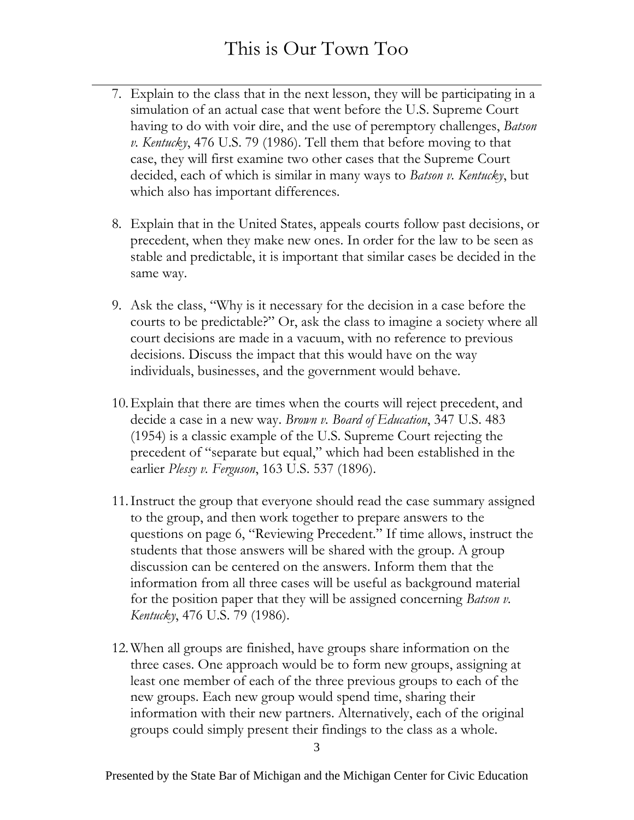- 7. Explain to the class that in the next lesson, they will be participating in a simulation of an actual case that went before the U.S. Supreme Court having to do with voir dire, and the use of peremptory challenges, *Batson v. Kentucky*, 476 U.S. 79 (1986). Tell them that before moving to that case, they will first examine two other cases that the Supreme Court decided, each of which is similar in many ways to *Batson v. Kentucky*, but which also has important differences.
- 8. Explain that in the United States, appeals courts follow past decisions, or precedent, when they make new ones. In order for the law to be seen as stable and predictable, it is important that similar cases be decided in the same way.
- 9. Ask the class, "Why is it necessary for the decision in a case before the courts to be predictable?" Or, ask the class to imagine a society where all court decisions are made in a vacuum, with no reference to previous decisions. Discuss the impact that this would have on the way individuals, businesses, and the government would behave.
- 10. Explain that there are times when the courts will reject precedent, and decide a case in a new way. *Brown v. Board of Education*, 347 U.S. 483 (1954) is a classic example of the U.S. Supreme Court rejecting the precedent of "separate but equal," which had been established in the earlier *Plessy v. Ferguson*, 163 U.S. 537 (1896).
- 11. Instruct the group that everyone should read the case summary assigned to the group, and then work together to prepare answers to the questions on page 6, "Reviewing Precedent." If time allows, instruct the students that those answers will be shared with the group. A group discussion can be centered on the answers. Inform them that the information from all three cases will be useful as background material for the position paper that they will be assigned concerning *Batson v. Kentucky*, 476 U.S. 79 (1986).
- 12. When all groups are finished, have groups share information on the three cases. One approach would be to form new groups, assigning at least one member of each of the three previous groups to each of the new groups. Each new group would spend time, sharing their information with their new partners. Alternatively, each of the original groups could simply present their findings to the class as a whole.

3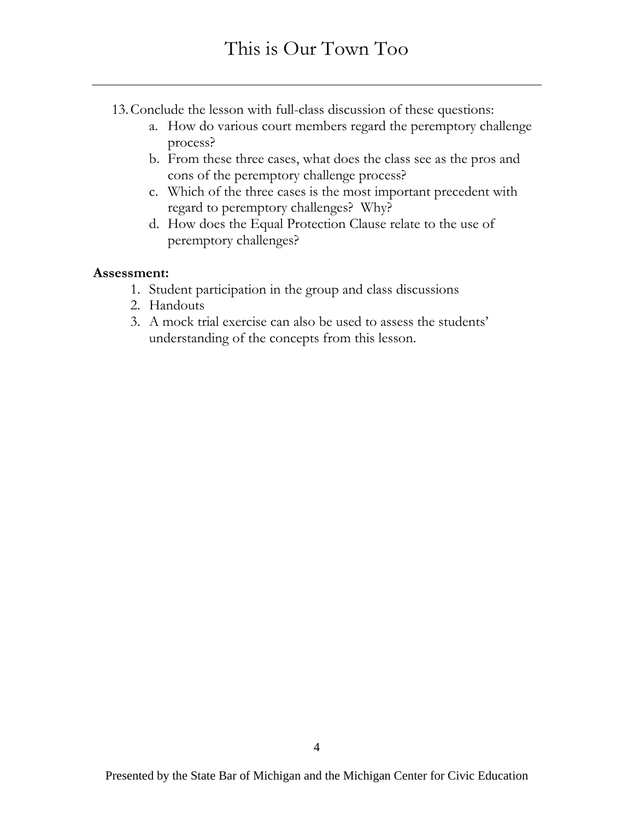- 13. Conclude the lesson with full-class discussion of these questions:
	- a. How do various court members regard the peremptory challenge process?
	- b. From these three cases, what does the class see as the pros and cons of the peremptory challenge process?
	- c. Which of the three cases is the most important precedent with regard to peremptory challenges? Why?
	- d. How does the Equal Protection Clause relate to the use of peremptory challenges?

#### **Assessment:**

- 1. Student participation in the group and class discussions
- 2. Handouts
- 3. A mock trial exercise can also be used to assess the students' understanding of the concepts from this lesson.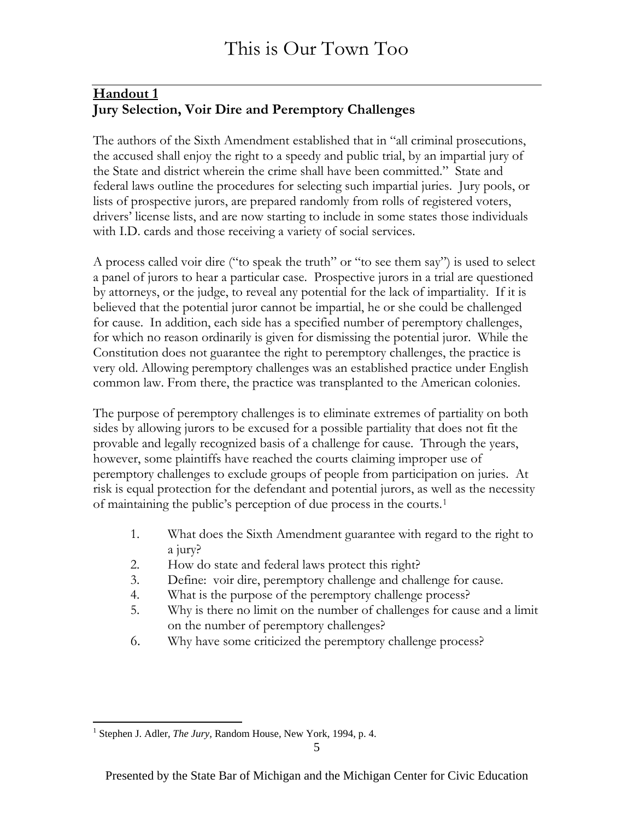#### **Handout 1 Jury Selection, Voir Dire and Peremptory Challenges**

The authors of the Sixth Amendment established that in "all criminal prosecutions, the accused shall enjoy the right to a speedy and public trial, by an impartial jury of the State and district wherein the crime shall have been committed." State and federal laws outline the procedures for selecting such impartial juries. Jury pools, or lists of prospective jurors, are prepared randomly from rolls of registered voters, drivers' license lists, and are now starting to include in some states those individuals with I.D. cards and those receiving a variety of social services.

A process called voir dire ("to speak the truth" or "to see them say") is used to select a panel of jurors to hear a particular case. Prospective jurors in a trial are questioned by attorneys, or the judge, to reveal any potential for the lack of impartiality. If it is believed that the potential juror cannot be impartial, he or she could be challenged for cause. In addition, each side has a specified number of peremptory challenges, for which no reason ordinarily is given for dismissing the potential juror. While the Constitution does not guarantee the right to peremptory challenges, the practice is very old. Allowing peremptory challenges was an established practice under English common law. From there, the practice was transplanted to the American colonies.

The purpose of peremptory challenges is to eliminate extremes of partiality on both sides by allowing jurors to be excused for a possible partiality that does not fit the provable and legally recognized basis of a challenge for cause. Through the years, however, some plaintiffs have reached the courts claiming improper use of peremptory challenges to exclude groups of people from participation on juries. At risk is equal protection for the defendant and potential jurors, as well as the necessity of maintaining the public's perception of due process in the courts.[1](#page-9-0)

- 1. What does the Sixth Amendment guarantee with regard to the right to a jury?
- 2. How do state and federal laws protect this right?
- 3. Define: voir dire, peremptory challenge and challenge for cause.
- 4. What is the purpose of the peremptory challenge process?
- 5. Why is there no limit on the number of challenges for cause and a limit on the number of peremptory challenges?
- 6. Why have some criticized the peremptory challenge process?

 $\overline{a}$ 

<span id="page-9-0"></span><sup>&</sup>lt;sup>1</sup> Stephen J. Adler, *The Jury*, Random House, New York, 1994, p. 4.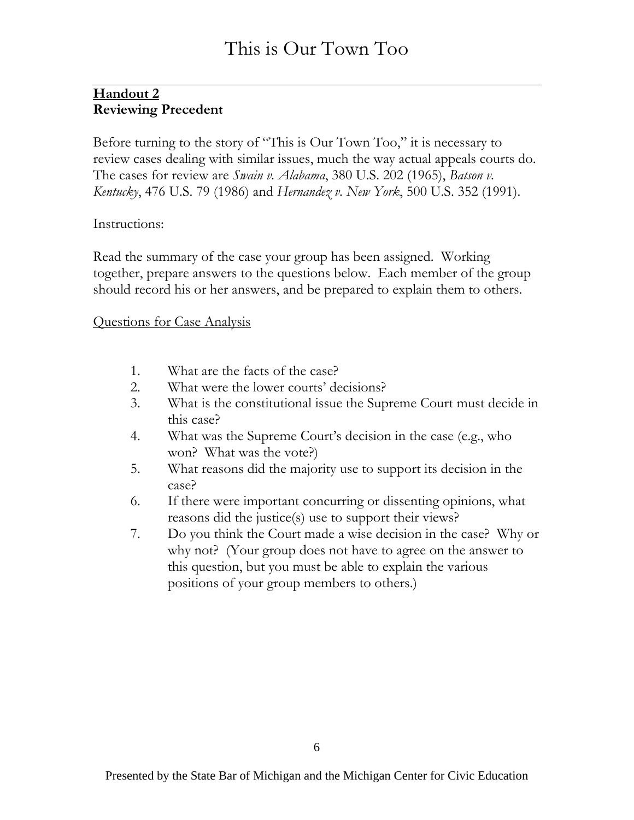#### **Handout 2 Reviewing Precedent**

Before turning to the story of "This is Our Town Too," it is necessary to review cases dealing with similar issues, much the way actual appeals courts do. The cases for review are *Swain v. Alabama*, 380 U.S. 202 (1965), *Batson v. Kentucky*, 476 U.S. 79 (1986) and *Hernandez v. New York*, 500 U.S. 352 (1991).

#### Instructions:

Read the summary of the case your group has been assigned. Working together, prepare answers to the questions below. Each member of the group should record his or her answers, and be prepared to explain them to others.

#### Questions for Case Analysis

- 1. What are the facts of the case?
- 2. What were the lower courts' decisions?
- 3. What is the constitutional issue the Supreme Court must decide in this case?
- 4. What was the Supreme Court's decision in the case (e.g., who won? What was the vote?)
- 5. What reasons did the majority use to support its decision in the case?
- 6. If there were important concurring or dissenting opinions, what reasons did the justice(s) use to support their views?
- 7. Do you think the Court made a wise decision in the case? Why or why not? (Your group does not have to agree on the answer to this question, but you must be able to explain the various positions of your group members to others.)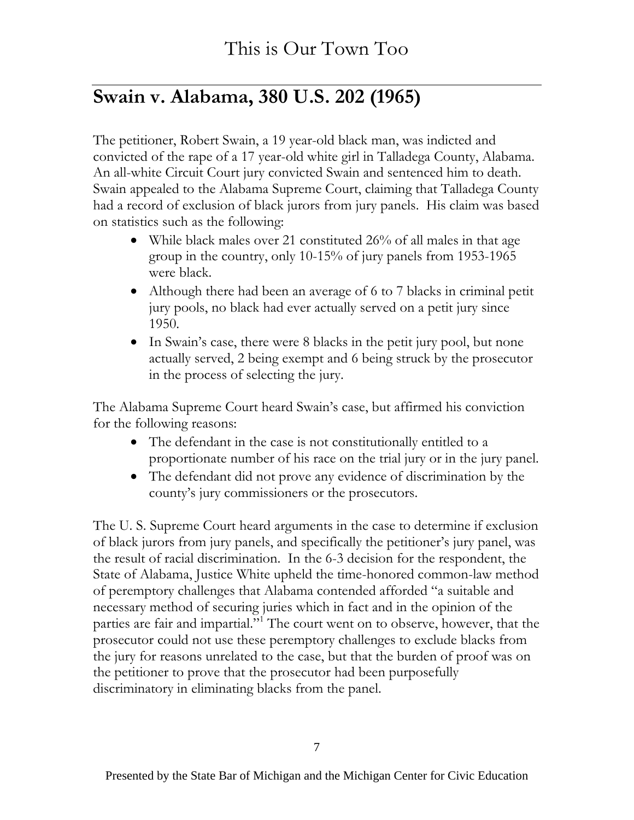# **Swain v. Alabama, 380 U.S. 202 (1965)**

The petitioner, Robert Swain, a 19 year-old black man, was indicted and convicted of the rape of a 17 year-old white girl in Talladega County, Alabama. An all-white Circuit Court jury convicted Swain and sentenced him to death. Swain appealed to the Alabama Supreme Court, claiming that Talladega County had a record of exclusion of black jurors from jury panels. His claim was based on statistics such as the following:

- While black males over 21 constituted 26% of all males in that age group in the country, only 10-15% of jury panels from 1953-1965 were black.
- Although there had been an average of 6 to 7 blacks in criminal petit jury pools, no black had ever actually served on a petit jury since 1950.
- In Swain's case, there were 8 blacks in the petit jury pool, but none actually served, 2 being exempt and 6 being struck by the prosecutor in the process of selecting the jury.

The Alabama Supreme Court heard Swain's case, but affirmed his conviction for the following reasons:

- The defendant in the case is not constitutionally entitled to a proportionate number of his race on the trial jury or in the jury panel.
- The defendant did not prove any evidence of discrimination by the county's jury commissioners or the prosecutors.

The U. S. Supreme Court heard arguments in the case to determine if exclusion of black jurors from jury panels, and specifically the petitioner's jury panel, was the result of racial discrimination. In the 6-3 decision for the respondent, the State of Alabama, Justice White upheld the time-honored common-law method of peremptory challenges that Alabama contended afforded "a suitable and necessary method of securing juries which in fact and in the opinion of the parties are fair and impartial."<sup>1</sup> The court went on to observe, however, that the prosecutor could not use these peremptory challenges to exclude blacks from the jury for reasons unrelated to the case, but that the burden of proof was on the petitioner to prove that the prosecutor had been purposefully discriminatory in eliminating blacks from the panel.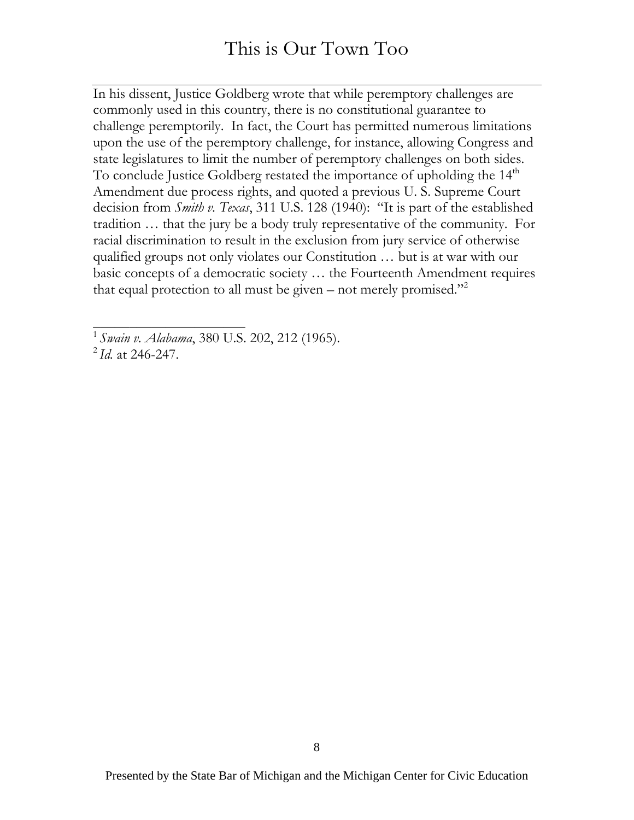In his dissent, Justice Goldberg wrote that while peremptory challenges are commonly used in this country, there is no constitutional guarantee to challenge peremptorily. In fact, the Court has permitted numerous limitations upon the use of the peremptory challenge, for instance, allowing Congress and state legislatures to limit the number of peremptory challenges on both sides. To conclude Justice Goldberg restated the importance of upholding the 14<sup>th</sup> Amendment due process rights, and quoted a previous U. S. Supreme Court decision from *Smith v. Texas*, 311 U.S. 128 (1940): "It is part of the established tradition … that the jury be a body truly representative of the community. For racial discrimination to result in the exclusion from jury service of otherwise qualified groups not only violates our Constitution … but is at war with our basic concepts of a democratic society … the Fourteenth Amendment requires that equal protection to all must be given – not merely promised."<sup>2</sup>

\_\_\_\_\_\_\_\_\_\_\_\_\_\_\_\_\_\_\_\_\_

<sup>1</sup>*Swain v. Alabama*, 380 U.S. 202, 212 (1965).

<sup>2</sup> *Id.* at 246-247.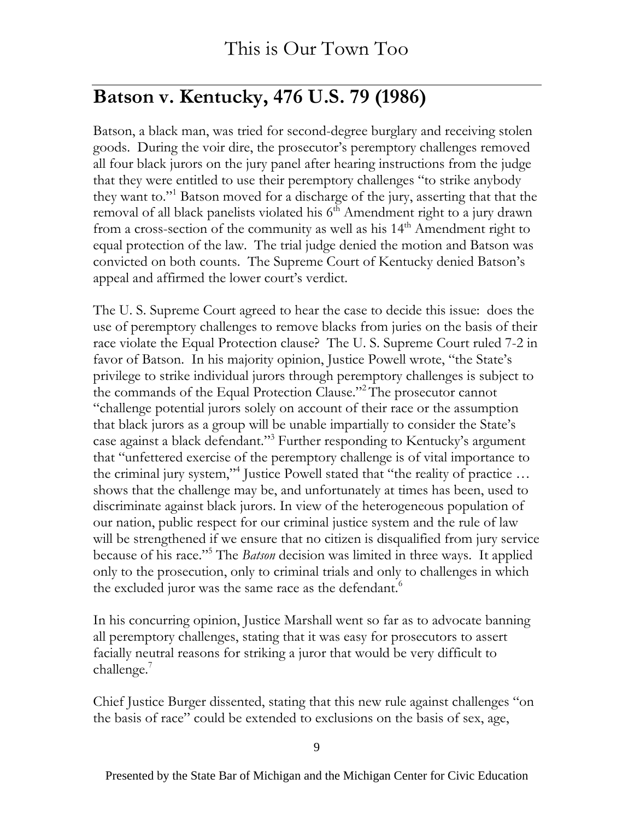# **Batson v. Kentucky, 476 U.S. 79 (1986)**

Batson, a black man, was tried for second-degree burglary and receiving stolen goods. During the voir dire, the prosecutor's peremptory challenges removed all four black jurors on the jury panel after hearing instructions from the judge that they were entitled to use their peremptory challenges "to strike anybody they want to."1 Batson moved for a discharge of the jury, asserting that that the removal of all black panelists violated his  $6<sup>th</sup>$  Amendment right to a jury drawn from a cross-section of the community as well as his 14<sup>th</sup> Amendment right to equal protection of the law. The trial judge denied the motion and Batson was convicted on both counts. The Supreme Court of Kentucky denied Batson's appeal and affirmed the lower court's verdict.

The U. S. Supreme Court agreed to hear the case to decide this issue: does the use of peremptory challenges to remove blacks from juries on the basis of their race violate the Equal Protection clause? The U. S. Supreme Court ruled 7-2 in favor of Batson. In his majority opinion, Justice Powell wrote, "the State's privilege to strike individual jurors through peremptory challenges is subject to the commands of the Equal Protection Clause."2 The prosecutor cannot "challenge potential jurors solely on account of their race or the assumption that black jurors as a group will be unable impartially to consider the State's case against a black defendant."3 Further responding to Kentucky's argument that "unfettered exercise of the peremptory challenge is of vital importance to the criminal jury system,"<sup>4</sup> Justice Powell stated that "the reality of practice ... shows that the challenge may be, and unfortunately at times has been, used to discriminate against black jurors. In view of the heterogeneous population of our nation, public respect for our criminal justice system and the rule of law will be strengthened if we ensure that no citizen is disqualified from jury service because of his race."5 The *Batson* decision was limited in three ways. It applied only to the prosecution, only to criminal trials and only to challenges in which the excluded juror was the same race as the defendant.<sup>6</sup>

In his concurring opinion, Justice Marshall went so far as to advocate banning all peremptory challenges, stating that it was easy for prosecutors to assert facially neutral reasons for striking a juror that would be very difficult to challenge.<sup>7</sup>

Chief Justice Burger dissented, stating that this new rule against challenges "on the basis of race" could be extended to exclusions on the basis of sex, age,

9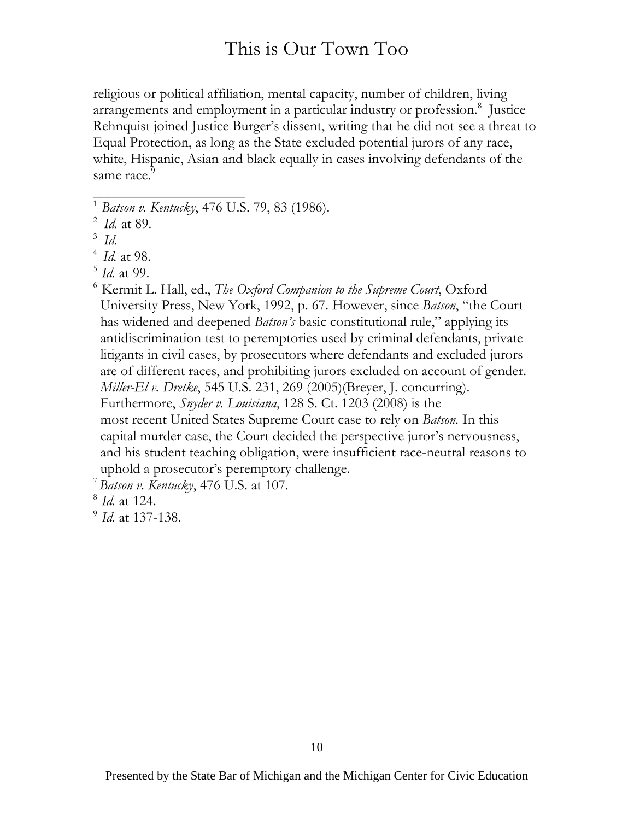religious or political affiliation, mental capacity, number of children, living arrangements and employment in a particular industry or profession.<sup>8</sup> Justice Rehnquist joined Justice Burger's dissent, writing that he did not see a threat to Equal Protection, as long as the State excluded potential jurors of any race, white, Hispanic, Asian and black equally in cases involving defendants of the same race.<sup>9</sup>

**\_\_\_\_\_\_\_\_\_\_\_\_\_\_\_\_\_\_\_\_\_** 

6 Kermit L. Hall, ed., *The Oxford Companion to the Supreme Court*, Oxford University Press, New York, 1992, p. 67. However, since *Batson*, "the Court has widened and deepened *Batson's* basic constitutional rule," applying its antidiscrimination test to peremptories used by criminal defendants, private litigants in civil cases, by prosecutors where defendants and excluded jurors are of different races, and prohibiting jurors excluded on account of gender. *Miller-El v. Dretke*, 545 U.S. 231, 269 (2005)(Breyer, J. concurring). Furthermore, *Snyder v. Louisiana*, 128 S. Ct. 1203 (2008) is the most recent United States Supreme Court case to rely on *Batson.* In this capital murder case, the Court decided the perspective juror's nervousness, and his student teaching obligation, were insufficient race-neutral reasons to

<sup>8</sup>*Id.* at 124.

<sup>1</sup>*Batson v. Kentucky*, 476 U.S. 79, 83 (1986).

<sup>2</sup>*Id.* at 89.

 $3$  *Id.* 

<sup>4</sup>*Id.* at 98.

<sup>5</sup>*Id.* at 99.

uphold a prosecutor's peremptory challenge.

<sup>7</sup>*Batson v. Kentucky*, 476 U.S. at 107.

<sup>9</sup> *Id.* at 137-138.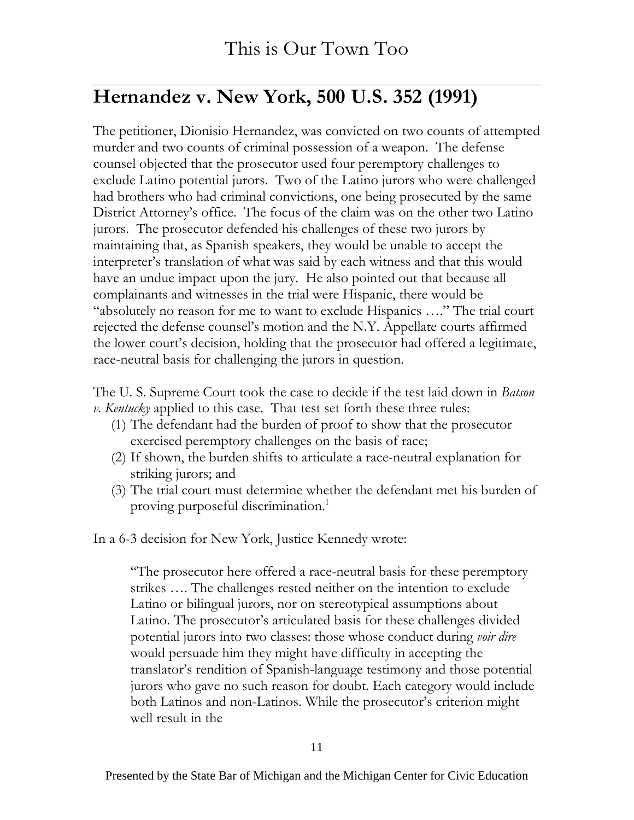# **Hernandez v. New York, 500 U.S. 352 (1991)**

The petitioner, Dionisio Hernandez, was convicted on two counts of attempted murder and two counts of criminal possession of a weapon. The defense counsel objected that the prosecutor used four peremptory challenges to exclude Latino potential jurors. Two of the Latino jurors who were challenged had brothers who had criminal convictions, one being prosecuted by the same District Attorney's office. The focus of the claim was on the other two Latino jurors. The prosecutor defended his challenges of these two jurors by maintaining that, as Spanish speakers, they would be unable to accept the interpreter's translation of what was said by each witness and that this would have an undue impact upon the jury. He also pointed out that because all complainants and witnesses in the trial were Hispanic, there would be "absolutely no reason for me to want to exclude Hispanics …." The trial court rejected the defense counsel's motion and the N.Y. Appellate courts affirmed the lower court's decision, holding that the prosecutor had offered a legitimate, race-neutral basis for challenging the jurors in question.

The U. S. Supreme Court took the case to decide if the test laid down in *Batson v. Kentucky* applied to this case. That test set forth these three rules:

- (1) The defendant had the burden of proof to show that the prosecutor exercised peremptory challenges on the basis of race;
- (2) If shown, the burden shifts to articulate a race-neutral explanation for striking jurors; and
- (3) The trial court must determine whether the defendant met his burden of proving purposeful discrimination.<sup>1</sup>

In a 6-3 decision for New York, Justice Kennedy wrote:

"The prosecutor here offered a race-neutral basis for these peremptory strikes …. The challenges rested neither on the intention to exclude Latino or bilingual jurors, nor on stereotypical assumptions about Latino. The prosecutor's articulated basis for these challenges divided potential jurors into two classes: those whose conduct during *voir dire*  would persuade him they might have difficulty in accepting the translator's rendition of Spanish-language testimony and those potential jurors who gave no such reason for doubt. Each category would include both Latinos and non-Latinos. While the prosecutor's criterion might well result in the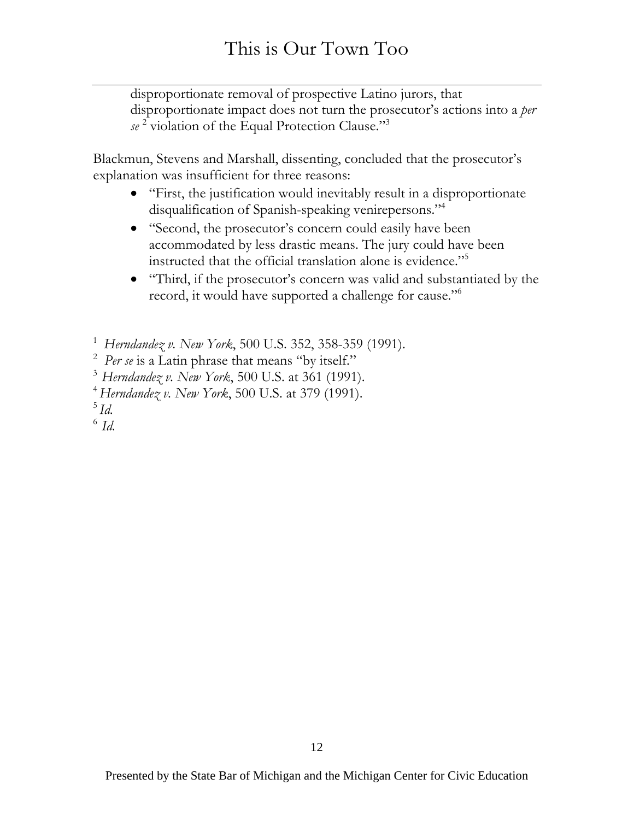disproportionate removal of prospective Latino jurors, that disproportionate impact does not turn the prosecutor's actions into a *per se* <sup>2</sup> violation of the Equal Protection Clause."3

Blackmun, Stevens and Marshall, dissenting, concluded that the prosecutor's explanation was insufficient for three reasons:

- "First, the justification would inevitably result in a disproportionate disqualification of Spanish-speaking venirepersons."4
- "Second, the prosecutor's concern could easily have been accommodated by less drastic means. The jury could have been instructed that the official translation alone is evidence."5
- "Third, if the prosecutor's concern was valid and substantiated by the record, it would have supported a challenge for cause."6

<sup>1</sup>*Herndandez v. New York*, 500 U.S. 352, 358-359 (1991).

<sup>2</sup> Per se is a Latin phrase that means "by itself."

<sup>4</sup>*Herndandez v. New York*, 500 U.S. at 379 (1991).

<sup>5</sup>*Id.* 

 $^6$  *Id.* 

<sup>3</sup>*Herndandez v. New York*, 500 U.S. at 361 (1991).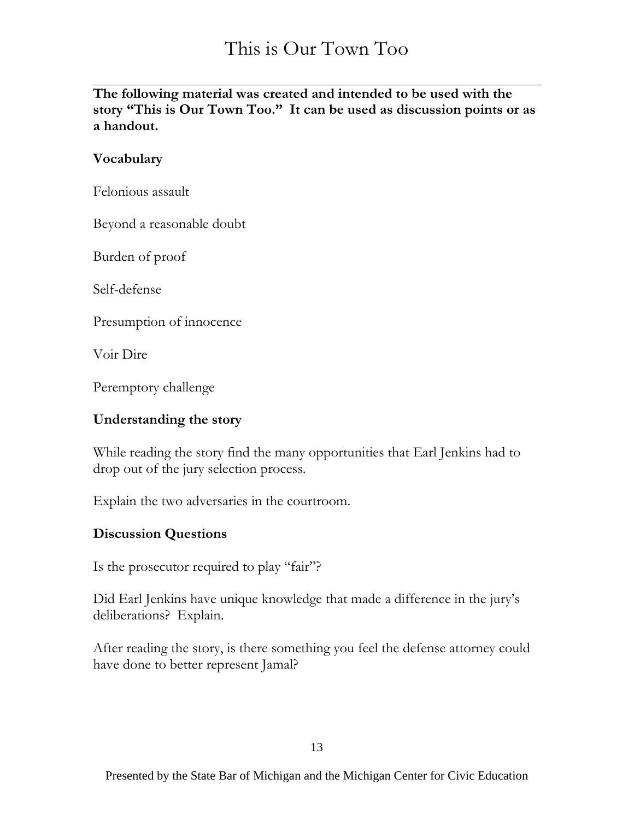**The following material was created and intended to be used with the story "This is Our Town Too." It can be used as discussion points or as a handout.**

#### **Vocabulary**

Felonious assault

Beyond a reasonable doubt

Burden of proof

Self-defense

Presumption of innocence

Voir Dire

Peremptory challenge

#### **Understanding the story**

While reading the story find the many opportunities that Earl Jenkins had to drop out of the jury selection process.

Explain the two adversaries in the courtroom.

#### **Discussion Questions**

Is the prosecutor required to play "fair"?

Did Earl Jenkins have unique knowledge that made a difference in the jury's deliberations? Explain.

After reading the story, is there something you feel the defense attorney could have done to better represent Jamal?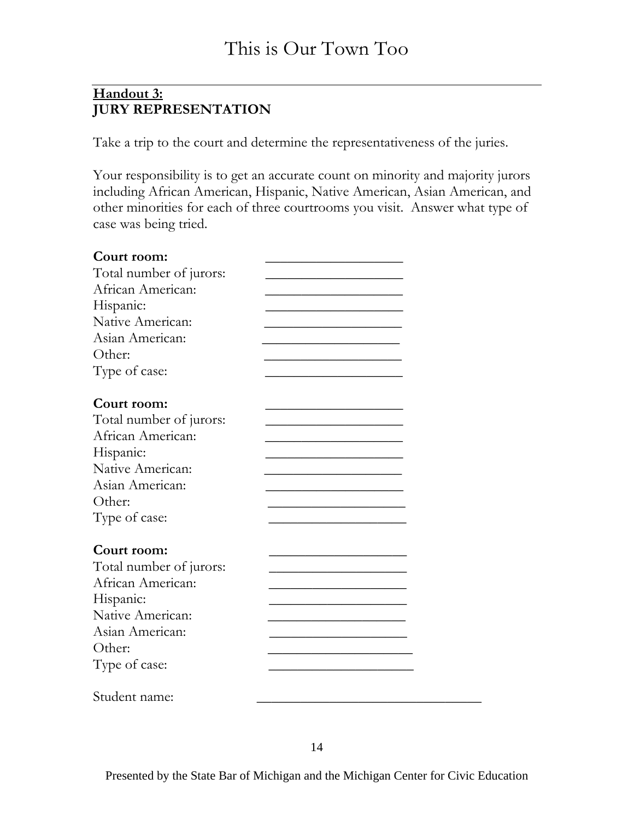#### **Handout 3: JURY REPRESENTATION**

Take a trip to the court and determine the representativeness of the juries.

Your responsibility is to get an accurate count on minority and majority jurors including African American, Hispanic, Native American, Asian American, and other minorities for each of three courtrooms you visit. Answer what type of case was being tried.

| Court room:                                  |  |
|----------------------------------------------|--|
| Total number of jurors:                      |  |
| African American:                            |  |
| Hispanic:                                    |  |
| Native American:                             |  |
| Asian American:                              |  |
| Other:                                       |  |
| Type of case:                                |  |
| Court room:                                  |  |
|                                              |  |
| Total number of jurors:<br>African American: |  |
|                                              |  |
| Hispanic:                                    |  |
| Native American:                             |  |
| Asian American:                              |  |
| Other:                                       |  |
| Type of case:                                |  |
| Court room:                                  |  |
| Total number of jurors:                      |  |
| African American:                            |  |
| Hispanic:                                    |  |
| Native American:                             |  |
| Asian American:                              |  |
| Other:                                       |  |
| Type of case:                                |  |
| Student name:                                |  |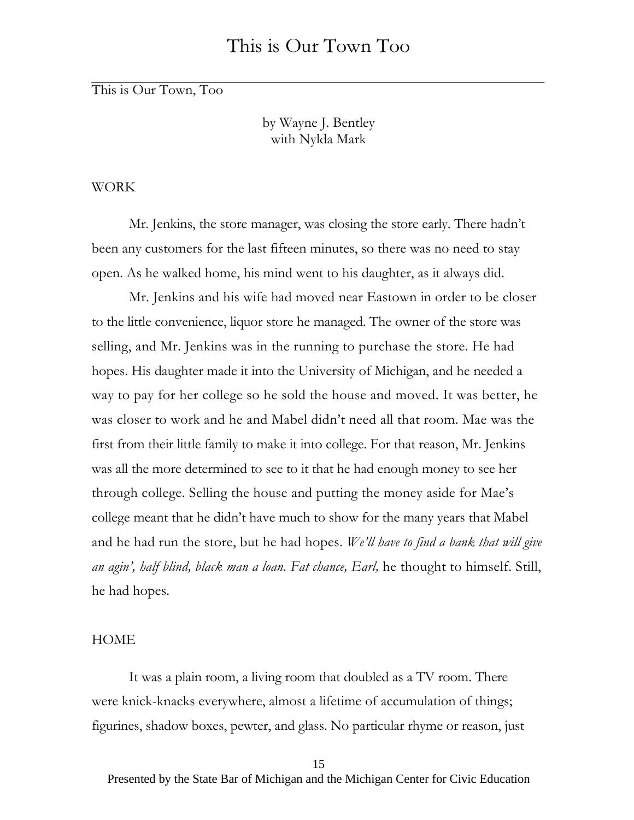by Wayne J. Bentley with Nylda Mark

#### WORK

Mr. Jenkins, the store manager, was closing the store early. There hadn't been any customers for the last fifteen minutes, so there was no need to stay open. As he walked home, his mind went to his daughter, as it always did.

Mr. Jenkins and his wife had moved near Eastown in order to be closer to the little convenience, liquor store he managed. The owner of the store was selling, and Mr. Jenkins was in the running to purchase the store. He had hopes. His daughter made it into the University of Michigan, and he needed a way to pay for her college so he sold the house and moved. It was better, he was closer to work and he and Mabel didn't need all that room. Mae was the first from their little family to make it into college. For that reason, Mr. Jenkins was all the more determined to see to it that he had enough money to see her through college. Selling the house and putting the money aside for Mae's college meant that he didn't have much to show for the many years that Mabel and he had run the store, but he had hopes. *We'll have to find a bank that will give an agin', half blind, black man a loan. Fat chance, Earl,* he thought to himself. Still, he had hopes.

#### **HOME**

It was a plain room, a living room that doubled as a TV room. There were knick-knacks everywhere, almost a lifetime of accumulation of things; figurines, shadow boxes, pewter, and glass. No particular rhyme or reason, just

<sup>15</sup>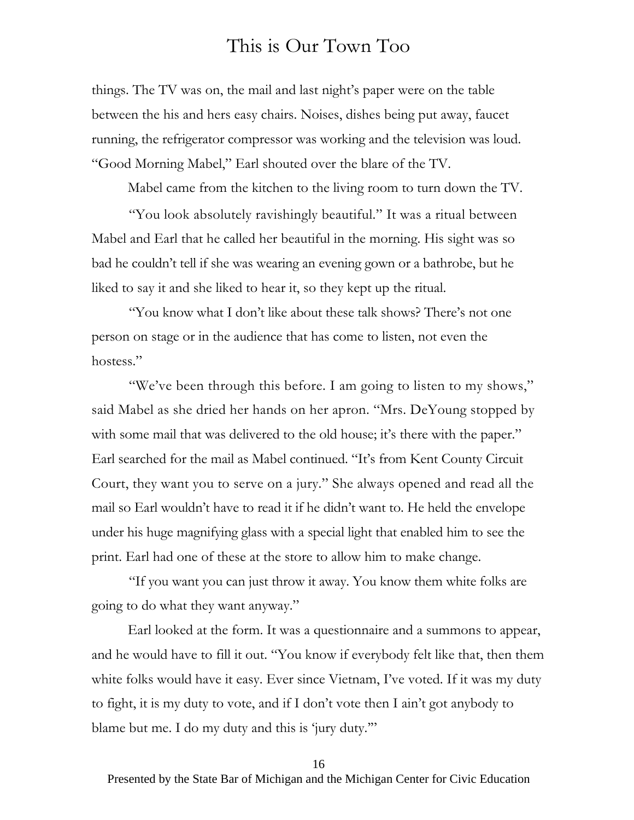things. The TV was on, the mail and last night's paper were on the table between the his and hers easy chairs. Noises, dishes being put away, faucet running, the refrigerator compressor was working and the television was loud. "Good Morning Mabel," Earl shouted over the blare of the TV.

Mabel came from the kitchen to the living room to turn down the TV.

"You look absolutely ravishingly beautiful." It was a ritual between Mabel and Earl that he called her beautiful in the morning. His sight was so bad he couldn't tell if she was wearing an evening gown or a bathrobe, but he liked to say it and she liked to hear it, so they kept up the ritual.

"You know what I don't like about these talk shows? There's not one person on stage or in the audience that has come to listen, not even the hostess."

"We've been through this before. I am going to listen to my shows," said Mabel as she dried her hands on her apron. "Mrs. DeYoung stopped by with some mail that was delivered to the old house; it's there with the paper." Earl searched for the mail as Mabel continued. "It's from Kent County Circuit Court, they want you to serve on a jury." She always opened and read all the mail so Earl wouldn't have to read it if he didn't want to. He held the envelope under his huge magnifying glass with a special light that enabled him to see the print. Earl had one of these at the store to allow him to make change.

"If you want you can just throw it away. You know them white folks are going to do what they want anyway."

Earl looked at the form. It was a questionnaire and a summons to appear, and he would have to fill it out. "You know if everybody felt like that, then them white folks would have it easy. Ever since Vietnam, I've voted. If it was my duty to fight, it is my duty to vote, and if I don't vote then I ain't got anybody to blame but me. I do my duty and this is 'jury duty.'"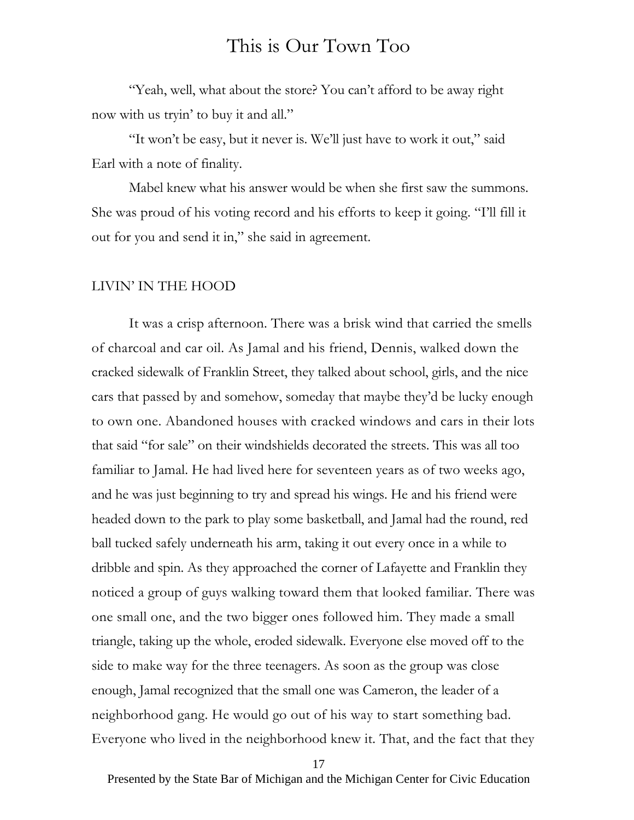"Yeah, well, what about the store? You can't afford to be away right now with us tryin' to buy it and all."

"It won't be easy, but it never is. We'll just have to work it out," said Earl with a note of finality.

Mabel knew what his answer would be when she first saw the summons. She was proud of his voting record and his efforts to keep it going. "I'll fill it out for you and send it in," she said in agreement.

#### LIVIN' IN THE HOOD

It was a crisp afternoon. There was a brisk wind that carried the smells of charcoal and car oil. As Jamal and his friend, Dennis, walked down the cracked sidewalk of Franklin Street, they talked about school, girls, and the nice cars that passed by and somehow, someday that maybe they'd be lucky enough to own one. Abandoned houses with cracked windows and cars in their lots that said "for sale" on their windshields decorated the streets. This was all too familiar to Jamal. He had lived here for seventeen years as of two weeks ago, and he was just beginning to try and spread his wings. He and his friend were headed down to the park to play some basketball, and Jamal had the round, red ball tucked safely underneath his arm, taking it out every once in a while to dribble and spin. As they approached the corner of Lafayette and Franklin they noticed a group of guys walking toward them that looked familiar. There was one small one, and the two bigger ones followed him. They made a small triangle, taking up the whole, eroded sidewalk. Everyone else moved off to the side to make way for the three teenagers. As soon as the group was close enough, Jamal recognized that the small one was Cameron, the leader of a neighborhood gang. He would go out of his way to start something bad. Everyone who lived in the neighborhood knew it. That, and the fact that they

17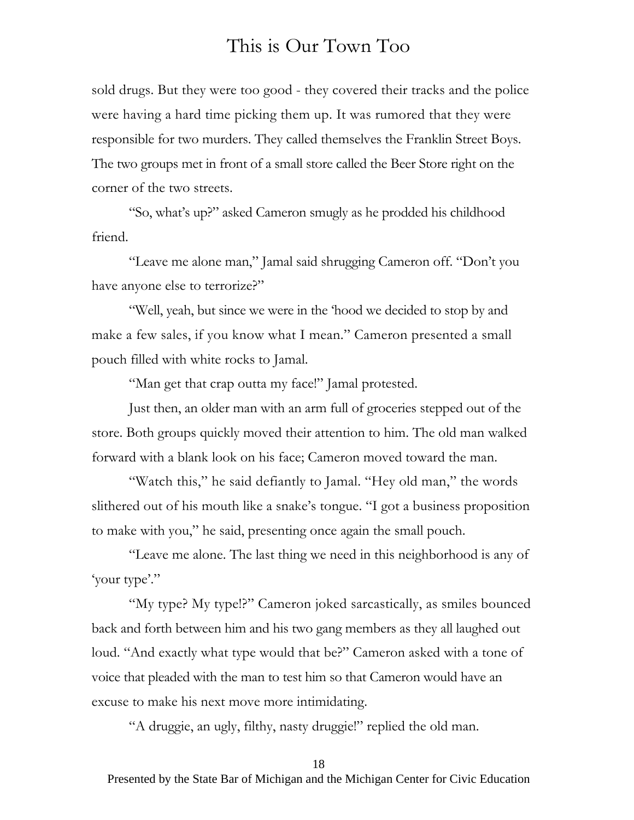sold drugs. But they were too good - they covered their tracks and the police were having a hard time picking them up. It was rumored that they were responsible for two murders. They called themselves the Franklin Street Boys. The two groups met in front of a small store called the Beer Store right on the corner of the two streets.

"So, what's up?" asked Cameron smugly as he prodded his childhood friend.

"Leave me alone man," Jamal said shrugging Cameron off. "Don't you have anyone else to terrorize?"

"Well, yeah, but since we were in the 'hood we decided to stop by and make a few sales, if you know what I mean." Cameron presented a small pouch filled with white rocks to Jamal.

"Man get that crap outta my face!" Jamal protested.

Just then, an older man with an arm full of groceries stepped out of the store. Both groups quickly moved their attention to him. The old man walked forward with a blank look on his face; Cameron moved toward the man.

"Watch this," he said defiantly to Jamal. "Hey old man," the words slithered out of his mouth like a snake's tongue. "I got a business proposition to make with you," he said, presenting once again the small pouch.

"Leave me alone. The last thing we need in this neighborhood is any of 'your type'."

"My type? My type!?" Cameron joked sarcastically, as smiles bounced back and forth between him and his two gang members as they all laughed out loud. "And exactly what type would that be?" Cameron asked with a tone of voice that pleaded with the man to test him so that Cameron would have an excuse to make his next move more intimidating.

"A druggie, an ugly, filthy, nasty druggie!" replied the old man.

#### 18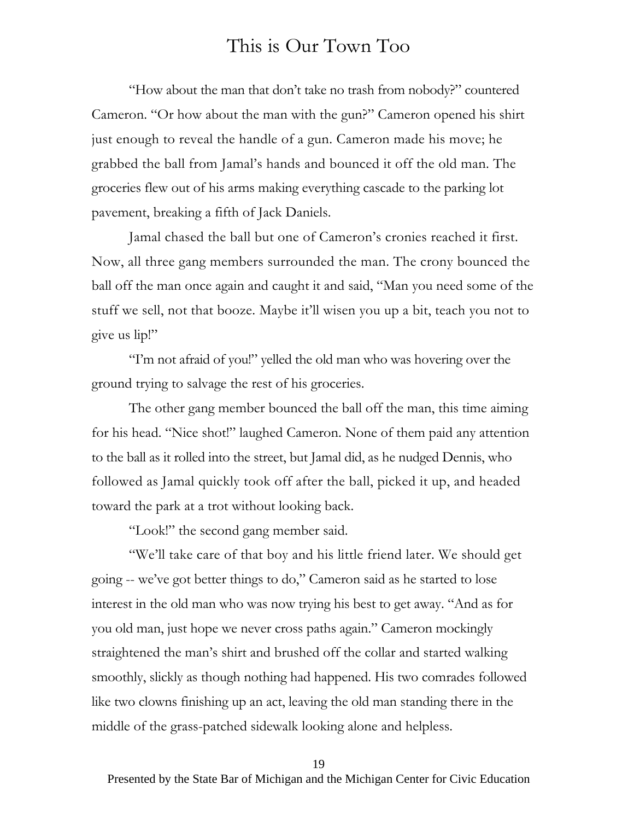"How about the man that don't take no trash from nobody?" countered Cameron. "Or how about the man with the gun?" Cameron opened his shirt just enough to reveal the handle of a gun. Cameron made his move; he grabbed the ball from Jamal's hands and bounced it off the old man. The groceries flew out of his arms making everything cascade to the parking lot pavement, breaking a fifth of Jack Daniels.

Jamal chased the ball but one of Cameron's cronies reached it first. Now, all three gang members surrounded the man. The crony bounced the ball off the man once again and caught it and said, "Man you need some of the stuff we sell, not that booze. Maybe it'll wisen you up a bit, teach you not to give us lip!"

"I'm not afraid of you!" yelled the old man who was hovering over the ground trying to salvage the rest of his groceries.

The other gang member bounced the ball off the man, this time aiming for his head. "Nice shot!" laughed Cameron. None of them paid any attention to the ball as it rolled into the street, but Jamal did, as he nudged Dennis, who followed as Jamal quickly took off after the ball, picked it up, and headed toward the park at a trot without looking back.

"Look!" the second gang member said.

"We'll take care of that boy and his little friend later. We should get going -- we've got better things to do," Cameron said as he started to lose interest in the old man who was now trying his best to get away. "And as for you old man, just hope we never cross paths again." Cameron mockingly straightened the man's shirt and brushed off the collar and started walking smoothly, slickly as though nothing had happened. His two comrades followed like two clowns finishing up an act, leaving the old man standing there in the middle of the grass-patched sidewalk looking alone and helpless.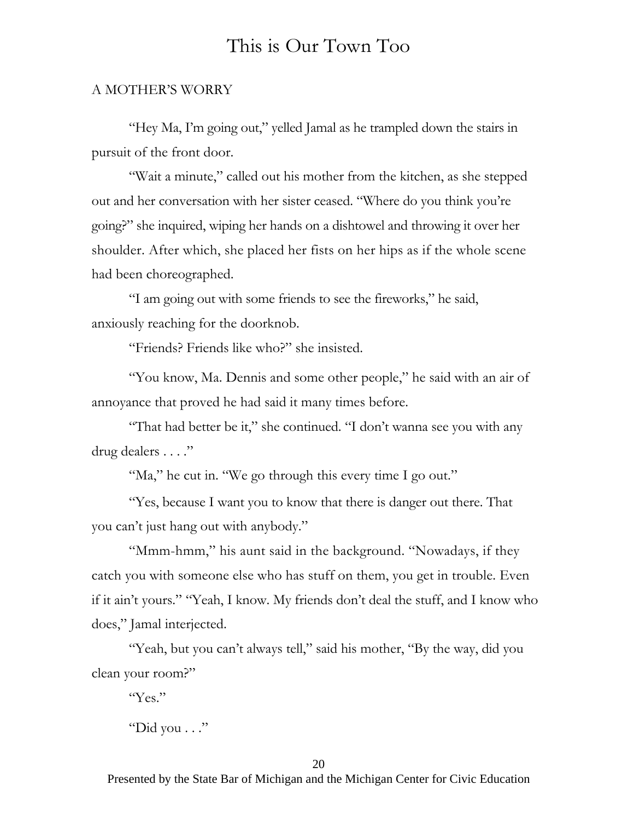#### A MOTHER'S WORRY

"Hey Ma, I'm going out," yelled Jamal as he trampled down the stairs in pursuit of the front door.

"Wait a minute," called out his mother from the kitchen, as she stepped out and her conversation with her sister ceased. "Where do you think you're going?" she inquired, wiping her hands on a dishtowel and throwing it over her shoulder. After which, she placed her fists on her hips as if the whole scene had been choreographed.

"I am going out with some friends to see the fireworks," he said, anxiously reaching for the doorknob.

"Friends? Friends like who?" she insisted.

"You know, Ma. Dennis and some other people," he said with an air of annoyance that proved he had said it many times before.

"That had better be it," she continued. "I don't wanna see you with any drug dealers . . . ."

"Ma," he cut in. "We go through this every time I go out."

"Yes, because I want you to know that there is danger out there. That you can't just hang out with anybody."

"Mmm-hmm," his aunt said in the background. "Nowadays, if they catch you with someone else who has stuff on them, you get in trouble. Even if it ain't yours." "Yeah, I know. My friends don't deal the stuff, and I know who does," Jamal interjected.

"Yeah, but you can't always tell," said his mother, "By the way, did you clean your room?"

"Yes."

"Did you . . ."

20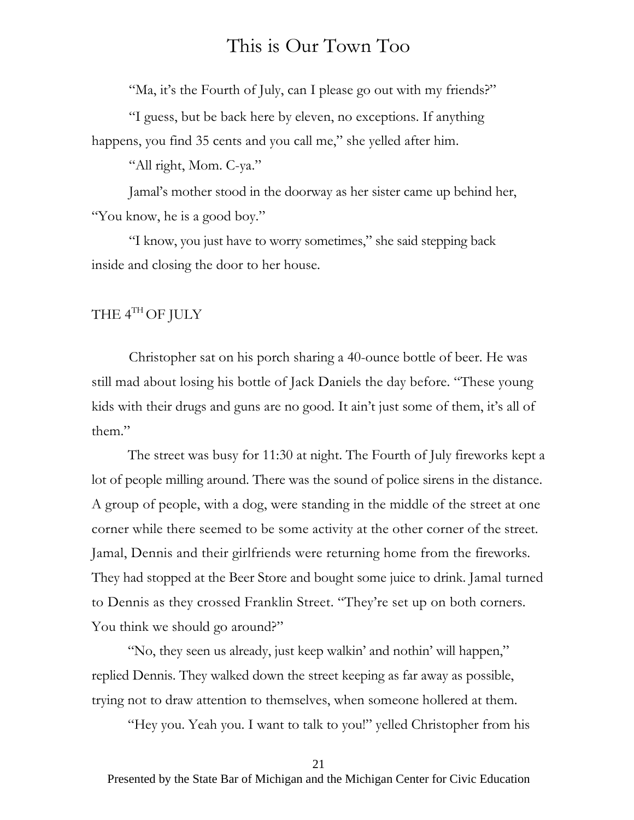"Ma, it's the Fourth of July, can I please go out with my friends?"

"I guess, but be back here by eleven, no exceptions. If anything happens, you find 35 cents and you call me," she yelled after him.

"All right, Mom. C-ya."

Jamal's mother stood in the doorway as her sister came up behind her, "You know, he is a good boy."

"I know, you just have to worry sometimes," she said stepping back inside and closing the door to her house.

#### THE 4TH OF JULY

Christopher sat on his porch sharing a 40-ounce bottle of beer. He was still mad about losing his bottle of Jack Daniels the day before. "These young kids with their drugs and guns are no good. It ain't just some of them, it's all of them."

The street was busy for 11:30 at night. The Fourth of July fireworks kept a lot of people milling around. There was the sound of police sirens in the distance. A group of people, with a dog, were standing in the middle of the street at one corner while there seemed to be some activity at the other corner of the street. Jamal, Dennis and their girlfriends were returning home from the fireworks. They had stopped at the Beer Store and bought some juice to drink. Jamal turned to Dennis as they crossed Franklin Street. "They're set up on both corners. You think we should go around?"

"No, they seen us already, just keep walkin' and nothin' will happen," replied Dennis. They walked down the street keeping as far away as possible, trying not to draw attention to themselves, when someone hollered at them.

"Hey you. Yeah you. I want to talk to you!" yelled Christopher from his

#### 21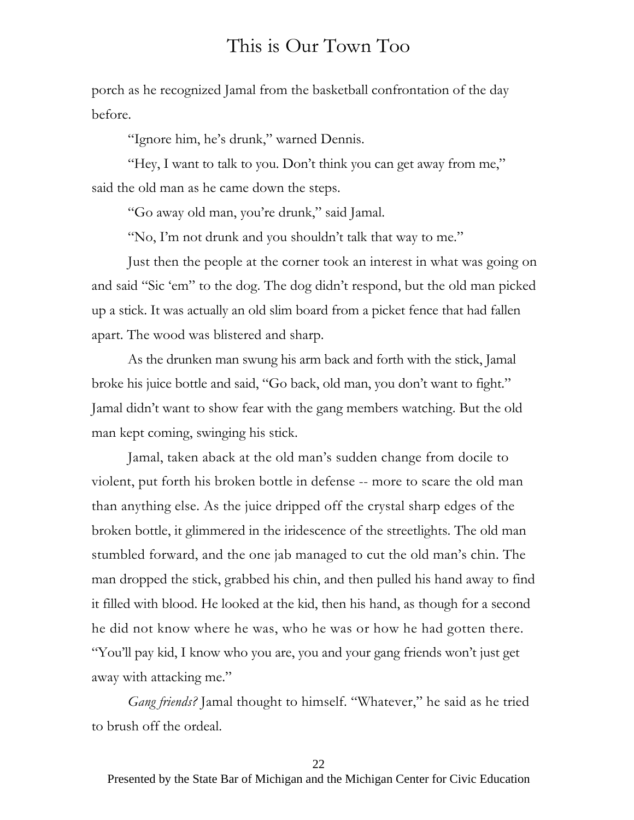porch as he recognized Jamal from the basketball confrontation of the day before.

"Ignore him, he's drunk," warned Dennis.

"Hey, I want to talk to you. Don't think you can get away from me," said the old man as he came down the steps.

"Go away old man, you're drunk," said Jamal.

"No, I'm not drunk and you shouldn't talk that way to me."

Just then the people at the corner took an interest in what was going on and said "Sic 'em" to the dog. The dog didn't respond, but the old man picked up a stick. It was actually an old slim board from a picket fence that had fallen apart. The wood was blistered and sharp.

As the drunken man swung his arm back and forth with the stick, Jamal broke his juice bottle and said, "Go back, old man, you don't want to fight." Jamal didn't want to show fear with the gang members watching. But the old man kept coming, swinging his stick.

Jamal, taken aback at the old man's sudden change from docile to violent, put forth his broken bottle in defense -- more to scare the old man than anything else. As the juice dripped off the crystal sharp edges of the broken bottle, it glimmered in the iridescence of the streetlights. The old man stumbled forward, and the one jab managed to cut the old man's chin. The man dropped the stick, grabbed his chin, and then pulled his hand away to find it filled with blood. He looked at the kid, then his hand, as though for a second he did not know where he was, who he was or how he had gotten there. "You'll pay kid, I know who you are, you and your gang friends won't just get away with attacking me."

*Gang friends?* Jamal thought to himself. "Whatever," he said as he tried to brush off the ordeal.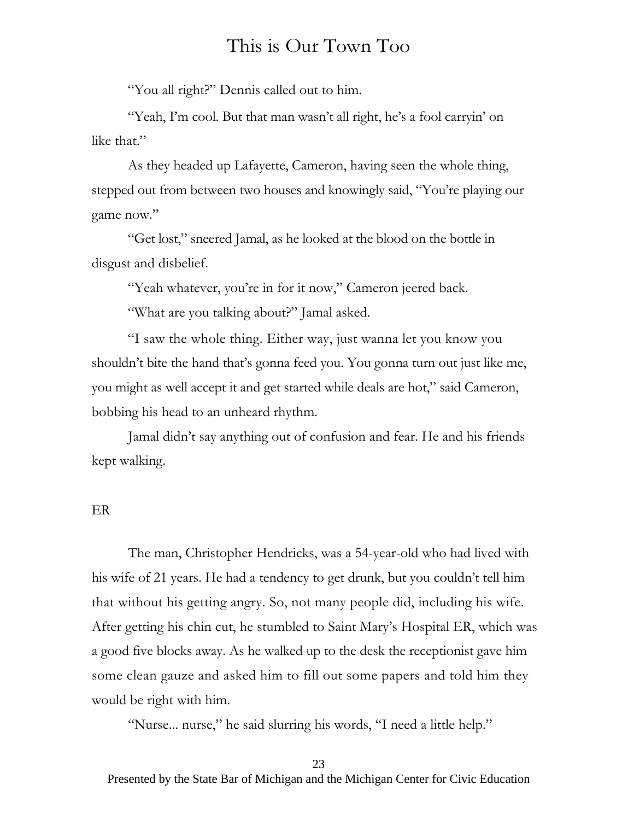"You all right?" Dennis called out to him.

"Yeah, I'm cool. But that man wasn't all right, he's a fool carryin' on like that."

As they headed up Lafayette, Cameron, having seen the whole thing, stepped out from between two houses and knowingly said, "You're playing our game now."

"Get lost," sneered Jamal, as he looked at the blood on the bottle in disgust and disbelief.

"Yeah whatever, you're in for it now," Cameron jeered back.

"What are you talking about?" Jamal asked.

"I saw the whole thing. Either way, just wanna let you know you shouldn't bite the hand that's gonna feed you. You gonna turn out just like me, you might as well accept it and get started while deals are hot," said Cameron, bobbing his head to an unheard rhythm.

Jamal didn't say anything out of confusion and fear. He and his friends kept walking.

#### ER

The man, Christopher Hendricks, was a 54-year-old who had lived with his wife of 21 years. He had a tendency to get drunk, but you couldn't tell him that without his getting angry. So, not many people did, including his wife. After getting his chin cut, he stumbled to Saint Mary's Hospital ER, which was a good five blocks away. As he walked up to the desk the receptionist gave him some clean gauze and asked him to fill out some papers and told him they would be right with him.

"Nurse... nurse," he said slurring his words, "I need a little help."

23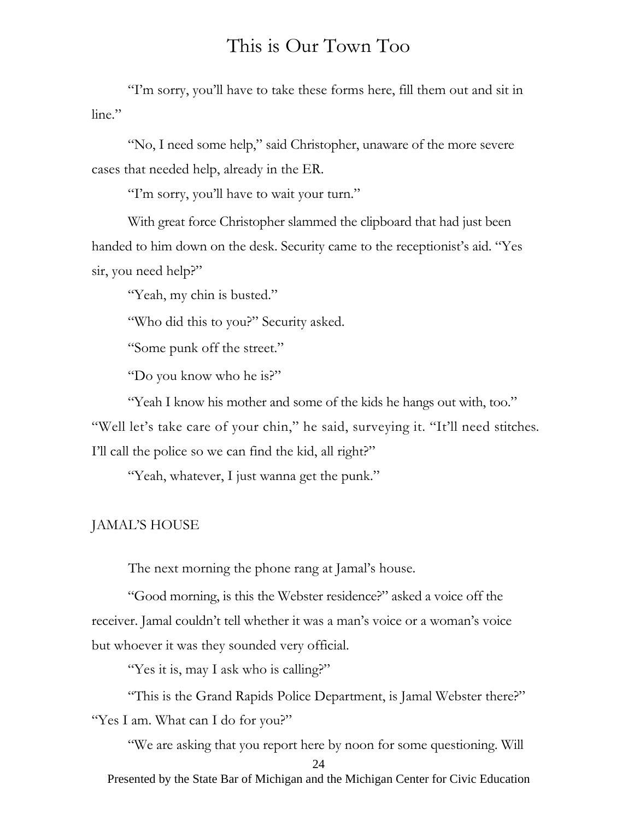"I'm sorry, you'll have to take these forms here, fill them out and sit in line."

"No, I need some help," said Christopher, unaware of the more severe cases that needed help, already in the ER.

"I'm sorry, you'll have to wait your turn."

With great force Christopher slammed the clipboard that had just been handed to him down on the desk. Security came to the receptionist's aid. "Yes sir, you need help?"

"Yeah, my chin is busted."

"Who did this to you?" Security asked.

"Some punk off the street."

"Do you know who he is?"

"Yeah I know his mother and some of the kids he hangs out with, too." "Well let's take care of your chin," he said, surveying it. "It'll need stitches. I'll call the police so we can find the kid, all right?"

"Yeah, whatever, I just wanna get the punk."

#### JAMAL'S HOUSE

The next morning the phone rang at Jamal's house.

"Good morning, is this the Webster residence?" asked a voice off the receiver. Jamal couldn't tell whether it was a man's voice or a woman's voice but whoever it was they sounded very official.

"Yes it is, may I ask who is calling?"

"This is the Grand Rapids Police Department, is Jamal Webster there?" "Yes I am. What can I do for you?"

"We are asking that you report here by noon for some questioning. Will

24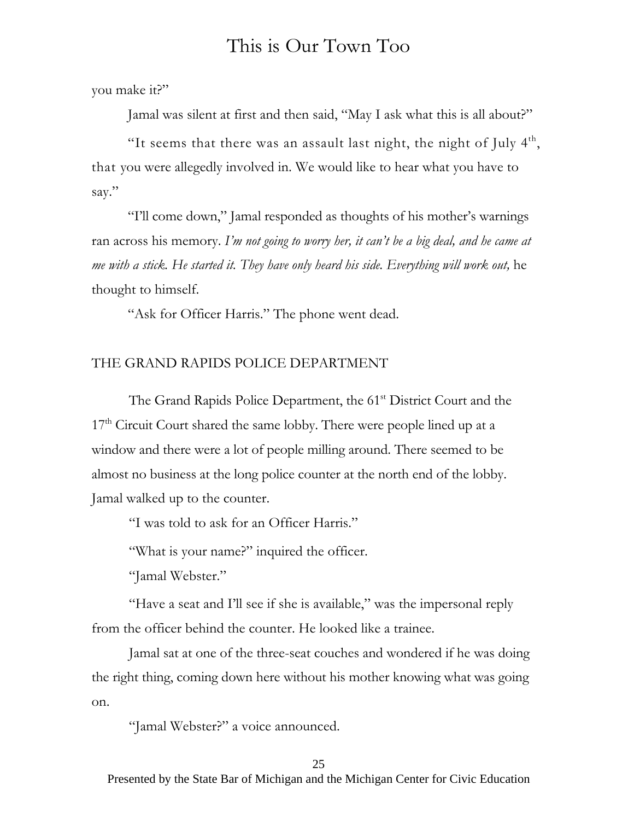you make it?"

Jamal was silent at first and then said, "May I ask what this is all about?"

"It seems that there was an assault last night, the night of July  $4<sup>th</sup>$ , that you were allegedly involved in. We would like to hear what you have to say."

"I'll come down," Jamal responded as thoughts of his mother's warnings ran across his memory. *I'm not going to worry her, it can't be a big deal, and he came at me with a stick. He started it. They have only heard his side. Everything will work out,* he thought to himself.

"Ask for Officer Harris." The phone went dead.

#### THE GRAND RAPIDS POLICE DEPARTMENT

The Grand Rapids Police Department, the 61<sup>st</sup> District Court and the 17<sup>th</sup> Circuit Court shared the same lobby. There were people lined up at a window and there were a lot of people milling around. There seemed to be almost no business at the long police counter at the north end of the lobby. Jamal walked up to the counter.

"I was told to ask for an Officer Harris."

"What is your name?" inquired the officer.

"Jamal Webster."

"Have a seat and I'll see if she is available," was the impersonal reply from the officer behind the counter. He looked like a trainee.

Jamal sat at one of the three-seat couches and wondered if he was doing the right thing, coming down here without his mother knowing what was going on.

"Jamal Webster?" a voice announced.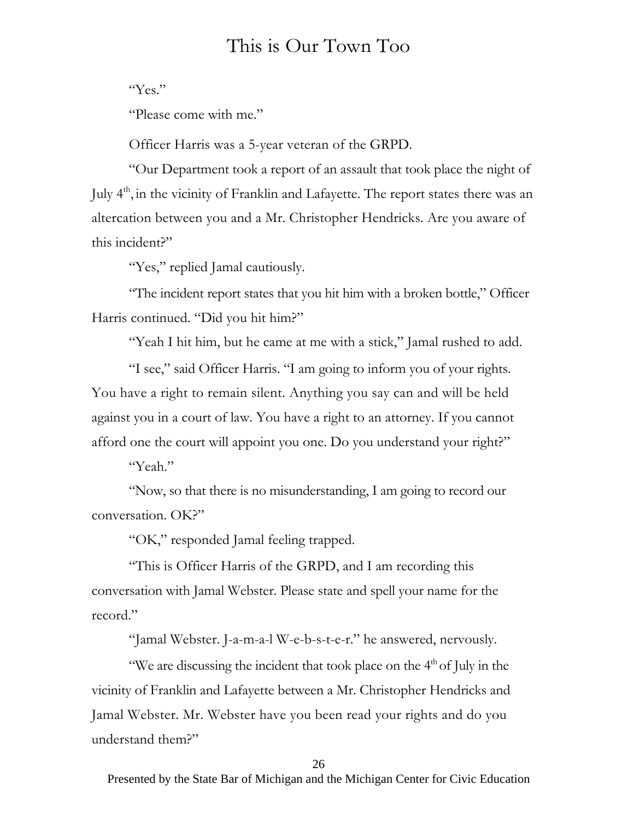#### "Yes."

"Please come with me."

Officer Harris was a 5-year veteran of the GRPD.

"Our Department took a report of an assault that took place the night of July 4<sup>th</sup>, in the vicinity of Franklin and Lafayette. The report states there was an altercation between you and a Mr. Christopher Hendricks. Are you aware of this incident?"

"Yes," replied Jamal cautiously.

"The incident report states that you hit him with a broken bottle," Officer Harris continued. "Did you hit him?"

"Yeah I hit him, but he came at me with a stick," Jamal rushed to add.

"I see," said Officer Harris. "I am going to inform you of your rights. You have a right to remain silent. Anything you say can and will be held against you in a court of law. You have a right to an attorney. If you cannot afford one the court will appoint you one. Do you understand your right?"

"Yeah."

"Now, so that there is no misunderstanding, I am going to record our conversation. OK?"

"OK," responded Jamal feeling trapped.

"This is Officer Harris of the GRPD, and I am recording this conversation with Jamal Webster. Please state and spell your name for the record."

"Jamal Webster. J-a-m-a-l W-e-b-s-t-e-r." he answered, nervously.

"We are discussing the incident that took place on the  $4<sup>th</sup>$  of July in the vicinity of Franklin and Lafayette between a Mr. Christopher Hendricks and Jamal Webster. Mr. Webster have you been read your rights and do you understand them?"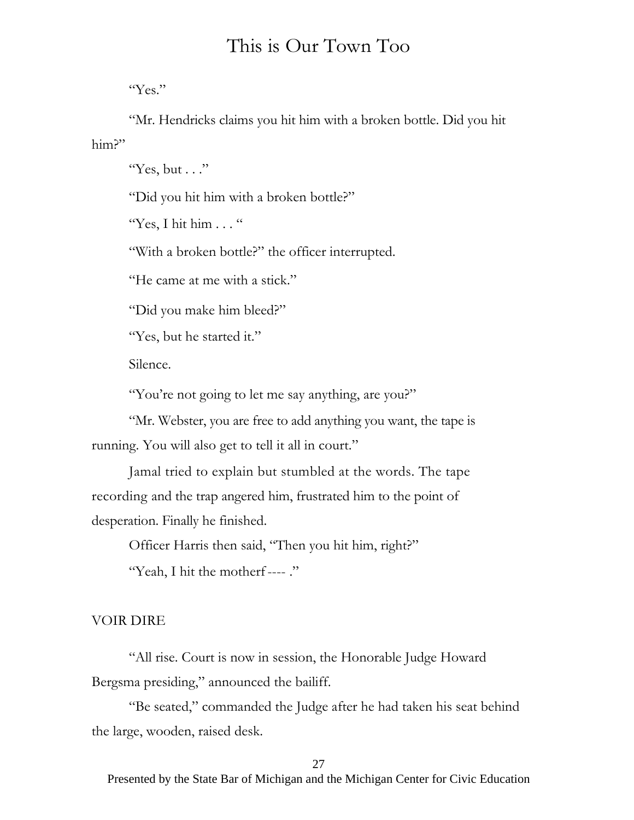"Yes."

"Mr. Hendricks claims you hit him with a broken bottle. Did you hit him?"

"Yes, but  $\ldots$ "

"Did you hit him with a broken bottle?"

"Yes, I hit him  $\ldots$ "

"With a broken bottle?" the officer interrupted.

"He came at me with a stick."

"Did you make him bleed?"

"Yes, but he started it."

Silence.

"You're not going to let me say anything, are you?"

"Mr. Webster, you are free to add anything you want, the tape is running. You will also get to tell it all in court."

Jamal tried to explain but stumbled at the words. The tape recording and the trap angered him, frustrated him to the point of desperation. Finally he finished.

Officer Harris then said, "Then you hit him, right?"

"Yeah, I hit the motherf ---- ."

#### VOIR DIRE

"All rise. Court is now in session, the Honorable Judge Howard Bergsma presiding," announced the bailiff.

"Be seated," commanded the Judge after he had taken his seat behind the large, wooden, raised desk.

27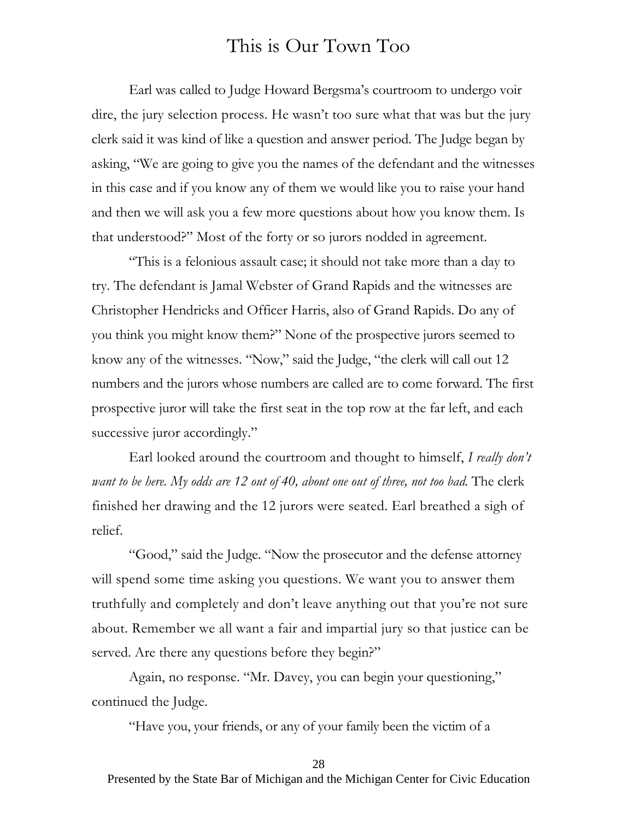Earl was called to Judge Howard Bergsma's courtroom to undergo voir dire, the jury selection process. He wasn't too sure what that was but the jury clerk said it was kind of like a question and answer period. The Judge began by asking, "We are going to give you the names of the defendant and the witnesses in this case and if you know any of them we would like you to raise your hand and then we will ask you a few more questions about how you know them. Is that understood?" Most of the forty or so jurors nodded in agreement.

"This is a felonious assault case; it should not take more than a day to try. The defendant is Jamal Webster of Grand Rapids and the witnesses are Christopher Hendricks and Officer Harris, also of Grand Rapids. Do any of you think you might know them?" None of the prospective jurors seemed to know any of the witnesses. "Now," said the Judge, "the clerk will call out 12 numbers and the jurors whose numbers are called are to come forward. The first prospective juror will take the first seat in the top row at the far left, and each successive juror accordingly."

Earl looked around the courtroom and thought to himself, *I really don't want to be here.* My odds are 12 out of 40, about one out of three, not too bad. The clerk finished her drawing and the 12 jurors were seated. Earl breathed a sigh of relief.

"Good," said the Judge. "Now the prosecutor and the defense attorney will spend some time asking you questions. We want you to answer them truthfully and completely and don't leave anything out that you're not sure about. Remember we all want a fair and impartial jury so that justice can be served. Are there any questions before they begin?"

Again, no response. "Mr. Davey, you can begin your questioning," continued the Judge.

"Have you, your friends, or any of your family been the victim of a

#### 28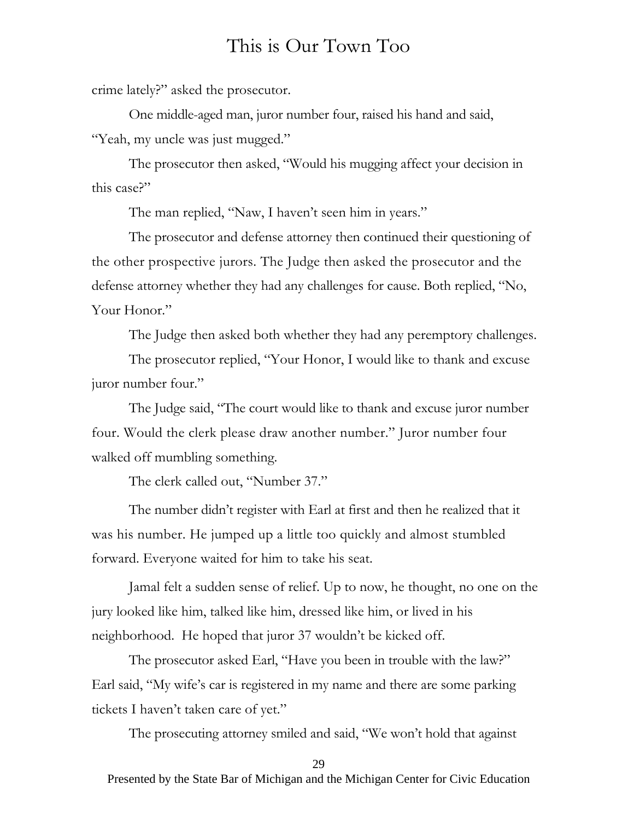crime lately?" asked the prosecutor.

One middle-aged man, juror number four, raised his hand and said, "Yeah, my uncle was just mugged."

The prosecutor then asked, "Would his mugging affect your decision in this case?"

The man replied, "Naw, I haven't seen him in years."

The prosecutor and defense attorney then continued their questioning of the other prospective jurors. The Judge then asked the prosecutor and the defense attorney whether they had any challenges for cause. Both replied, "No, Your Honor."

The Judge then asked both whether they had any peremptory challenges.

The prosecutor replied, "Your Honor, I would like to thank and excuse juror number four."

The Judge said, "The court would like to thank and excuse juror number four. Would the clerk please draw another number." Juror number four walked off mumbling something.

The clerk called out, "Number 37."

The number didn't register with Earl at first and then he realized that it was his number. He jumped up a little too quickly and almost stumbled forward. Everyone waited for him to take his seat.

Jamal felt a sudden sense of relief. Up to now, he thought, no one on the jury looked like him, talked like him, dressed like him, or lived in his neighborhood. He hoped that juror 37 wouldn't be kicked off.

The prosecutor asked Earl, "Have you been in trouble with the law?" Earl said, "My wife's car is registered in my name and there are some parking tickets I haven't taken care of yet."

The prosecuting attorney smiled and said, "We won't hold that against

29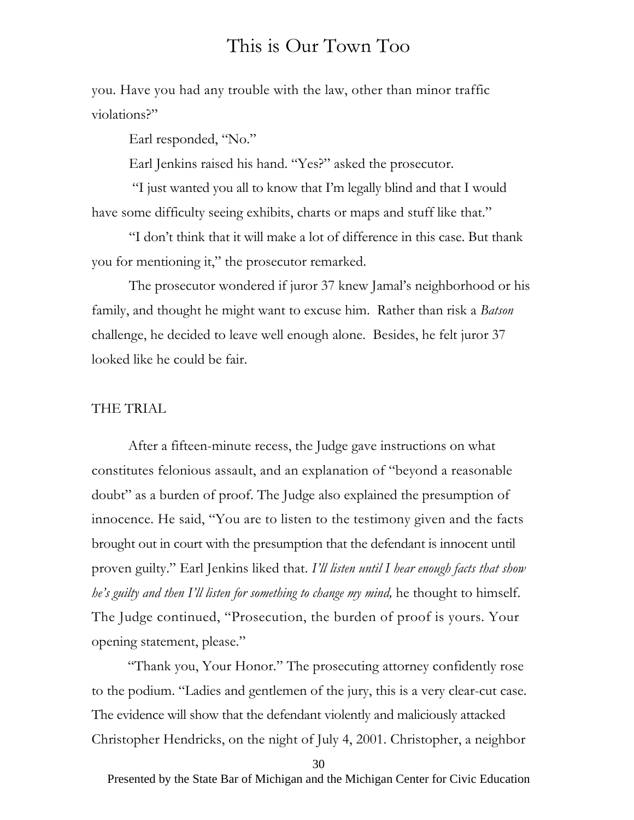you. Have you had any trouble with the law, other than minor traffic violations?"

Earl responded, "No."

Earl Jenkins raised his hand. "Yes?" asked the prosecutor.

 "I just wanted you all to know that I'm legally blind and that I would have some difficulty seeing exhibits, charts or maps and stuff like that."

"I don't think that it will make a lot of difference in this case. But thank you for mentioning it," the prosecutor remarked.

The prosecutor wondered if juror 37 knew Jamal's neighborhood or his family, and thought he might want to excuse him. Rather than risk a *Batson* challenge, he decided to leave well enough alone. Besides, he felt juror 37 looked like he could be fair.

#### THE TRIAL

After a fifteen-minute recess, the Judge gave instructions on what constitutes felonious assault, and an explanation of "beyond a reasonable doubt" as a burden of proof. The Judge also explained the presumption of innocence. He said, "You are to listen to the testimony given and the facts brought out in court with the presumption that the defendant is innocent until proven guilty." Earl Jenkins liked that. *I'll listen until I hear enough facts that show he's guilty and then I'll listen for something to change my mind,* he thought to himself. The Judge continued, "Prosecution, the burden of proof is yours. Your opening statement, please."

"Thank you, Your Honor." The prosecuting attorney confidently rose to the podium. "Ladies and gentlemen of the jury, this is a very clear-cut case. The evidence will show that the defendant violently and maliciously attacked Christopher Hendricks, on the night of July 4, 2001. Christopher, a neighbor

30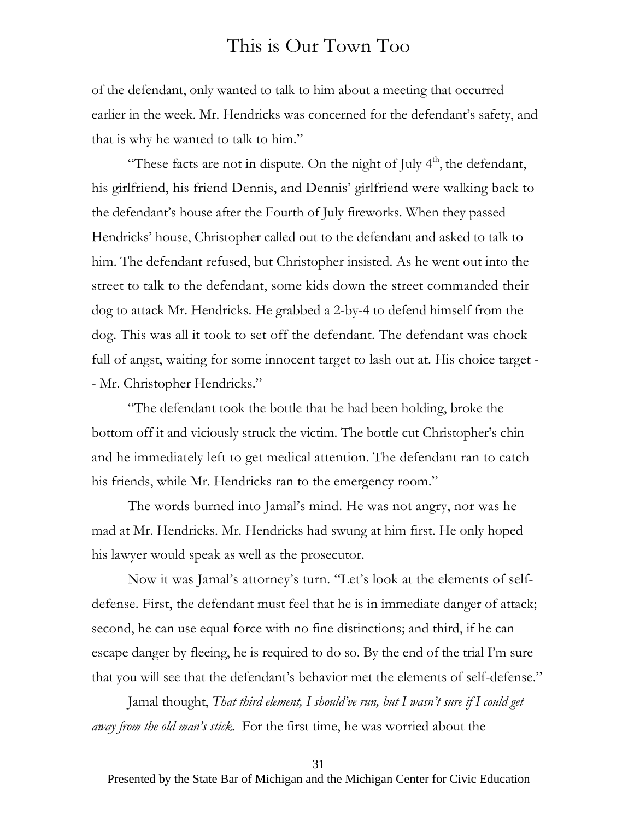of the defendant, only wanted to talk to him about a meeting that occurred earlier in the week. Mr. Hendricks was concerned for the defendant's safety, and that is why he wanted to talk to him."

"These facts are not in dispute. On the night of July 4<sup>th</sup>, the defendant, his girlfriend, his friend Dennis, and Dennis' girlfriend were walking back to the defendant's house after the Fourth of July fireworks. When they passed Hendricks' house, Christopher called out to the defendant and asked to talk to him. The defendant refused, but Christopher insisted. As he went out into the street to talk to the defendant, some kids down the street commanded their dog to attack Mr. Hendricks. He grabbed a 2-by-4 to defend himself from the dog. This was all it took to set off the defendant. The defendant was chock full of angst, waiting for some innocent target to lash out at. His choice target - - Mr. Christopher Hendricks."

"The defendant took the bottle that he had been holding, broke the bottom off it and viciously struck the victim. The bottle cut Christopher's chin and he immediately left to get medical attention. The defendant ran to catch his friends, while Mr. Hendricks ran to the emergency room."

The words burned into Jamal's mind. He was not angry, nor was he mad at Mr. Hendricks. Mr. Hendricks had swung at him first. He only hoped his lawyer would speak as well as the prosecutor.

Now it was Jamal's attorney's turn. "Let's look at the elements of selfdefense. First, the defendant must feel that he is in immediate danger of attack; second, he can use equal force with no fine distinctions; and third, if he can escape danger by fleeing, he is required to do so. By the end of the trial I'm sure that you will see that the defendant's behavior met the elements of self-defense."

Jamal thought, *That third element, I should've run, but I wasn't sure if I could get away from the old man's stick.* For the first time, he was worried about the

31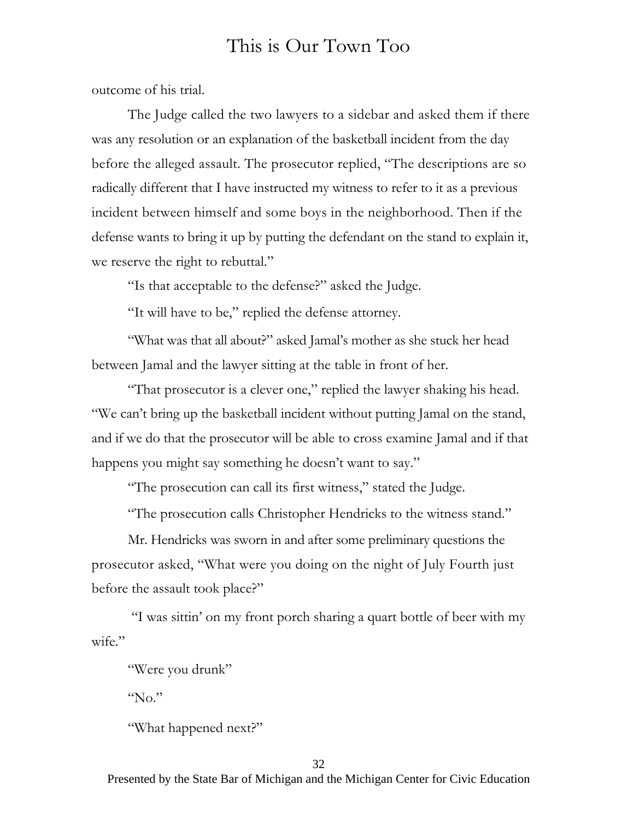outcome of his trial.

The Judge called the two lawyers to a sidebar and asked them if there was any resolution or an explanation of the basketball incident from the day before the alleged assault. The prosecutor replied, "The descriptions are so radically different that I have instructed my witness to refer to it as a previous incident between himself and some boys in the neighborhood. Then if the defense wants to bring it up by putting the defendant on the stand to explain it, we reserve the right to rebuttal."

"Is that acceptable to the defense?" asked the Judge.

"It will have to be," replied the defense attorney.

"What was that all about?" asked Jamal's mother as she stuck her head between Jamal and the lawyer sitting at the table in front of her.

"That prosecutor is a clever one," replied the lawyer shaking his head. "We can't bring up the basketball incident without putting Jamal on the stand, and if we do that the prosecutor will be able to cross examine Jamal and if that happens you might say something he doesn't want to say."

"The prosecution can call its first witness," stated the Judge.

"The prosecution calls Christopher Hendricks to the witness stand."

Mr. Hendricks was sworn in and after some preliminary questions the prosecutor asked, "What were you doing on the night of July Fourth just before the assault took place?"

 "I was sittin' on my front porch sharing a quart bottle of beer with my wife."

"Were you drunk"

"No."

"What happened next?"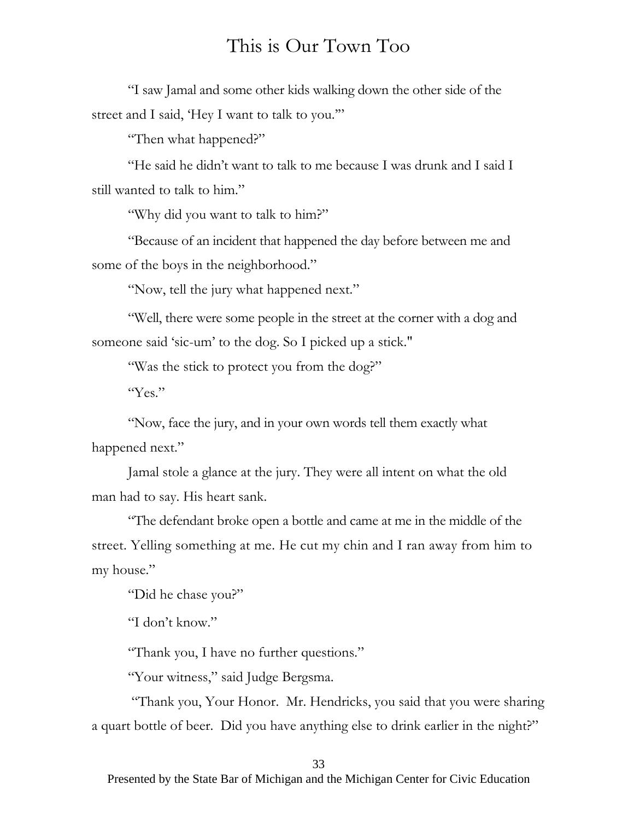"I saw Jamal and some other kids walking down the other side of the street and I said, 'Hey I want to talk to you.'"

"Then what happened?"

"He said he didn't want to talk to me because I was drunk and I said I still wanted to talk to him."

"Why did you want to talk to him?"

"Because of an incident that happened the day before between me and some of the boys in the neighborhood."

"Now, tell the jury what happened next."

"Well, there were some people in the street at the corner with a dog and someone said 'sic-um' to the dog. So I picked up a stick."

"Was the stick to protect you from the dog?"

"Yes."

"Now, face the jury, and in your own words tell them exactly what happened next."

Jamal stole a glance at the jury. They were all intent on what the old man had to say. His heart sank.

"The defendant broke open a bottle and came at me in the middle of the street. Yelling something at me. He cut my chin and I ran away from him to my house."

"Did he chase you?"

"I don't know."

"Thank you, I have no further questions."

"Your witness," said Judge Bergsma.

 "Thank you, Your Honor. Mr. Hendricks, you said that you were sharing a quart bottle of beer. Did you have anything else to drink earlier in the night?"

33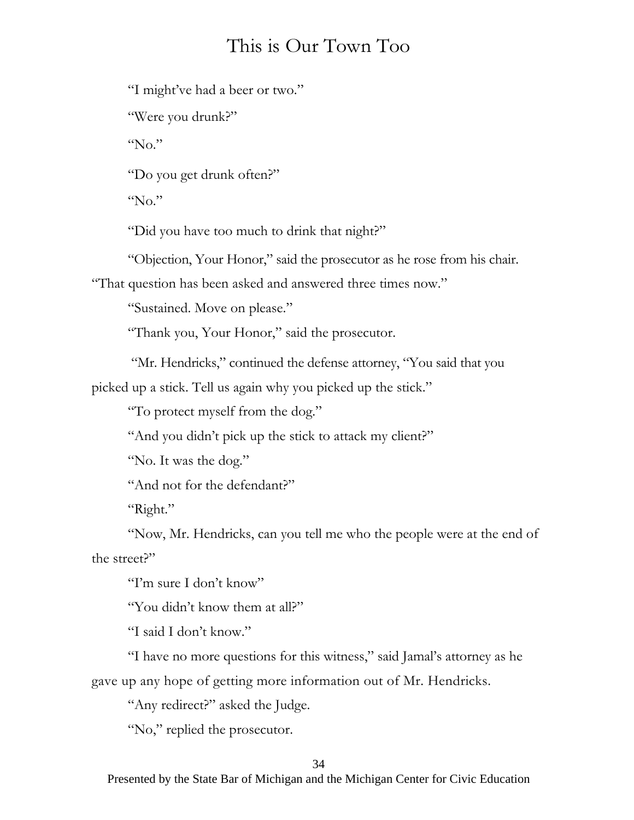"I might've had a beer or two."

"Were you drunk?"

" $No.$ "

"Do you get drunk often?"

"No."

"Did you have too much to drink that night?"

"Objection, Your Honor," said the prosecutor as he rose from his chair.

"That question has been asked and answered three times now."

"Sustained. Move on please."

"Thank you, Your Honor," said the prosecutor.

"Mr. Hendricks," continued the defense attorney, "You said that you

picked up a stick. Tell us again why you picked up the stick."

"To protect myself from the dog."

"And you didn't pick up the stick to attack my client?"

"No. It was the dog."

"And not for the defendant?"

"Right."

"Now, Mr. Hendricks, can you tell me who the people were at the end of the street?"

"I'm sure I don't know"

"You didn't know them at all?"

"I said I don't know."

"I have no more questions for this witness," said Jamal's attorney as he gave up any hope of getting more information out of Mr. Hendricks.

"Any redirect?" asked the Judge.

"No," replied the prosecutor.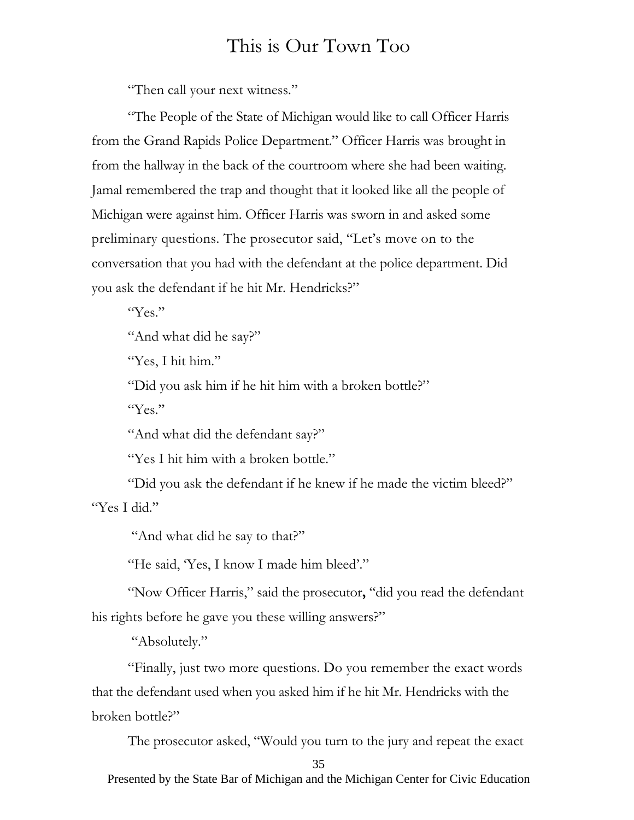"Then call your next witness."

"The People of the State of Michigan would like to call Officer Harris from the Grand Rapids Police Department." Officer Harris was brought in from the hallway in the back of the courtroom where she had been waiting. Jamal remembered the trap and thought that it looked like all the people of Michigan were against him. Officer Harris was sworn in and asked some preliminary questions. The prosecutor said, "Let's move on to the conversation that you had with the defendant at the police department. Did you ask the defendant if he hit Mr. Hendricks?"

"Yes."

"And what did he say?"

"Yes, I hit him."

"Did you ask him if he hit him with a broken bottle?"

"Yes."

"And what did the defendant say?"

"Yes I hit him with a broken bottle."

"Did you ask the defendant if he knew if he made the victim bleed?" "Yes I did."

"And what did he say to that?"

"He said, 'Yes, I know I made him bleed'."

"Now Officer Harris," said the prosecutor**,** "did you read the defendant his rights before he gave you these willing answers?"

"Absolutely."

"Finally, just two more questions. Do you remember the exact words that the defendant used when you asked him if he hit Mr. Hendricks with the broken bottle?"

The prosecutor asked, "Would you turn to the jury and repeat the exact

35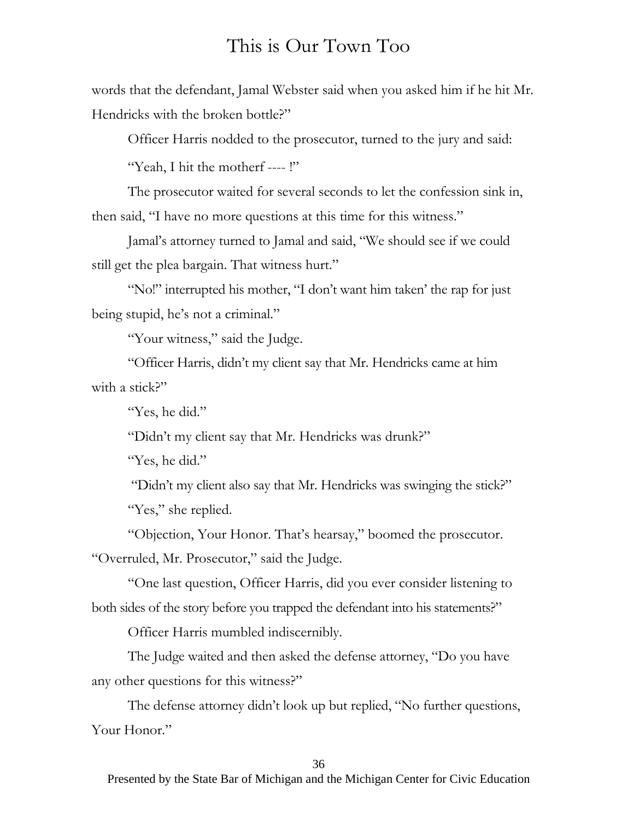words that the defendant, Jamal Webster said when you asked him if he hit Mr. Hendricks with the broken bottle?"

Officer Harris nodded to the prosecutor, turned to the jury and said:

"Yeah, I hit the motherf ---- !"

The prosecutor waited for several seconds to let the confession sink in, then said, "I have no more questions at this time for this witness."

Jamal's attorney turned to Jamal and said, "We should see if we could still get the plea bargain. That witness hurt."

"No!" interrupted his mother, "I don't want him taken' the rap for just being stupid, he's not a criminal."

"Your witness," said the Judge.

"Officer Harris, didn't my client say that Mr. Hendricks came at him with a stick?"

"Yes, he did."

"Didn't my client say that Mr. Hendricks was drunk?"

"Yes, he did."

 "Didn't my client also say that Mr. Hendricks was swinging the stick?" "Yes," she replied.

"Objection, Your Honor. That's hearsay," boomed the prosecutor. "Overruled, Mr. Prosecutor," said the Judge.

"One last question, Officer Harris, did you ever consider listening to both sides of the story before you trapped the defendant into his statements?"

Officer Harris mumbled indiscernibly.

The Judge waited and then asked the defense attorney, "Do you have any other questions for this witness?"

The defense attorney didn't look up but replied, "No further questions, Your Honor."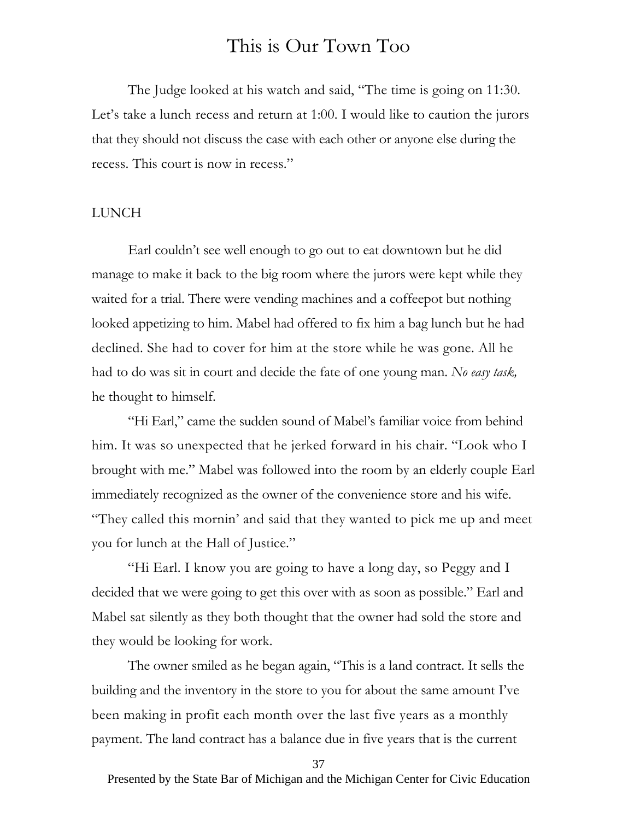The Judge looked at his watch and said, "The time is going on 11:30. Let's take a lunch recess and return at 1:00. I would like to caution the jurors that they should not discuss the case with each other or anyone else during the recess. This court is now in recess."

#### LUNCH

Earl couldn't see well enough to go out to eat downtown but he did manage to make it back to the big room where the jurors were kept while they waited for a trial. There were vending machines and a coffeepot but nothing looked appetizing to him. Mabel had offered to fix him a bag lunch but he had declined. She had to cover for him at the store while he was gone. All he had to do was sit in court and decide the fate of one young man. *No easy task,*  he thought to himself.

"Hi Earl," came the sudden sound of Mabel's familiar voice from behind him. It was so unexpected that he jerked forward in his chair. "Look who I brought with me." Mabel was followed into the room by an elderly couple Earl immediately recognized as the owner of the convenience store and his wife. "They called this mornin' and said that they wanted to pick me up and meet you for lunch at the Hall of Justice."

"Hi Earl. I know you are going to have a long day, so Peggy and I decided that we were going to get this over with as soon as possible." Earl and Mabel sat silently as they both thought that the owner had sold the store and they would be looking for work.

The owner smiled as he began again, "This is a land contract. It sells the building and the inventory in the store to you for about the same amount I've been making in profit each month over the last five years as a monthly payment. The land contract has a balance due in five years that is the current

37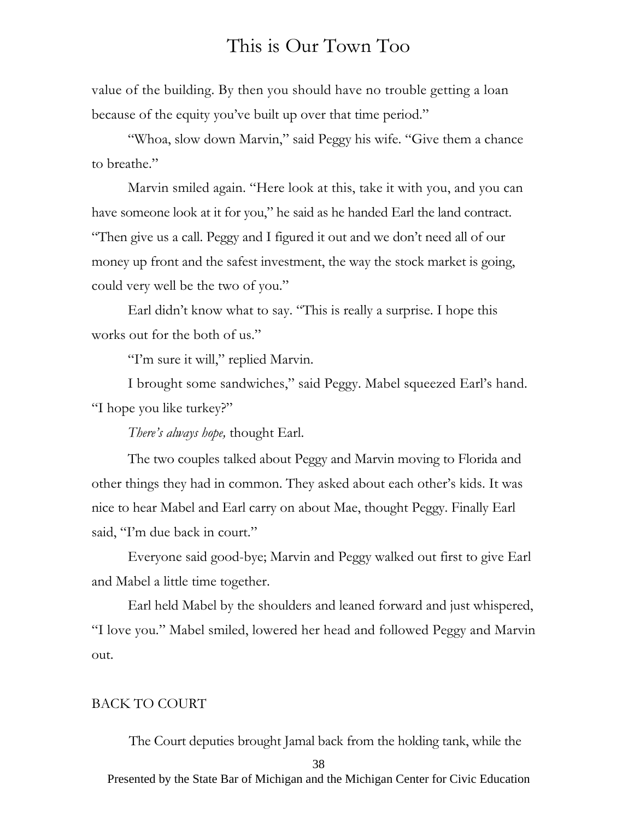value of the building. By then you should have no trouble getting a loan because of the equity you've built up over that time period."

"Whoa, slow down Marvin," said Peggy his wife. "Give them a chance to breathe."

Marvin smiled again. "Here look at this, take it with you, and you can have someone look at it for you," he said as he handed Earl the land contract. "Then give us a call. Peggy and I figured it out and we don't need all of our money up front and the safest investment, the way the stock market is going, could very well be the two of you."

Earl didn't know what to say. "This is really a surprise. I hope this works out for the both of us."

"I'm sure it will," replied Marvin.

I brought some sandwiches," said Peggy. Mabel squeezed Earl's hand. "I hope you like turkey?"

*There's always hope,* thought Earl.

The two couples talked about Peggy and Marvin moving to Florida and other things they had in common. They asked about each other's kids. It was nice to hear Mabel and Earl carry on about Mae, thought Peggy. Finally Earl said, "I'm due back in court."

Everyone said good-bye; Marvin and Peggy walked out first to give Earl and Mabel a little time together.

Earl held Mabel by the shoulders and leaned forward and just whispered, "I love you." Mabel smiled, lowered her head and followed Peggy and Marvin out.

#### BACK TO COURT

The Court deputies brought Jamal back from the holding tank, while the

38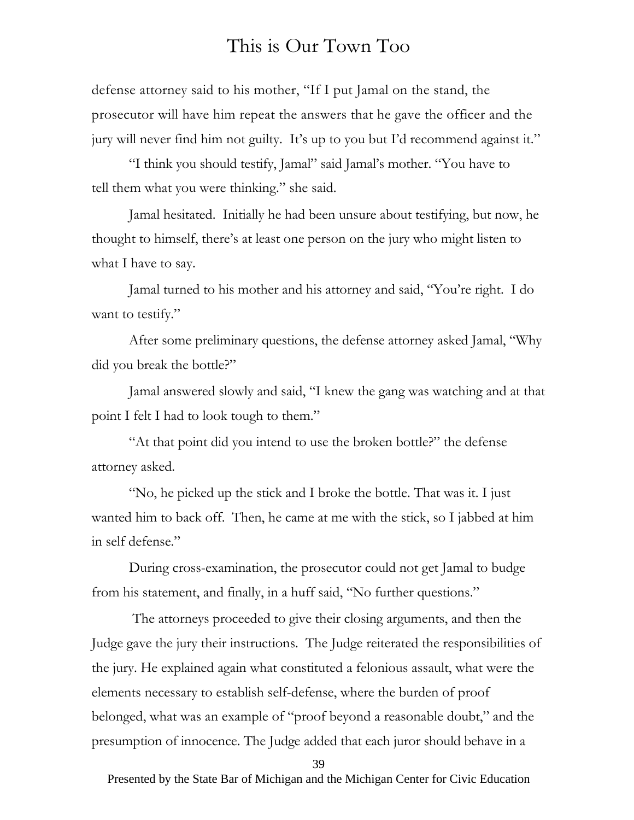defense attorney said to his mother, "If I put Jamal on the stand, the prosecutor will have him repeat the answers that he gave the officer and the jury will never find him not guilty. It's up to you but I'd recommend against it."

"I think you should testify, Jamal" said Jamal's mother. "You have to tell them what you were thinking." she said.

Jamal hesitated. Initially he had been unsure about testifying, but now, he thought to himself, there's at least one person on the jury who might listen to what I have to say.

Jamal turned to his mother and his attorney and said, "You're right. I do want to testify."

After some preliminary questions, the defense attorney asked Jamal, "Why did you break the bottle?"

Jamal answered slowly and said, "I knew the gang was watching and at that point I felt I had to look tough to them."

"At that point did you intend to use the broken bottle?" the defense attorney asked.

"No, he picked up the stick and I broke the bottle. That was it. I just wanted him to back off. Then, he came at me with the stick, so I jabbed at him in self defense."

During cross-examination, the prosecutor could not get Jamal to budge from his statement, and finally, in a huff said, "No further questions."

 The attorneys proceeded to give their closing arguments, and then the Judge gave the jury their instructions. The Judge reiterated the responsibilities of the jury. He explained again what constituted a felonious assault, what were the elements necessary to establish self-defense, where the burden of proof belonged, what was an example of "proof beyond a reasonable doubt," and the presumption of innocence. The Judge added that each juror should behave in a

39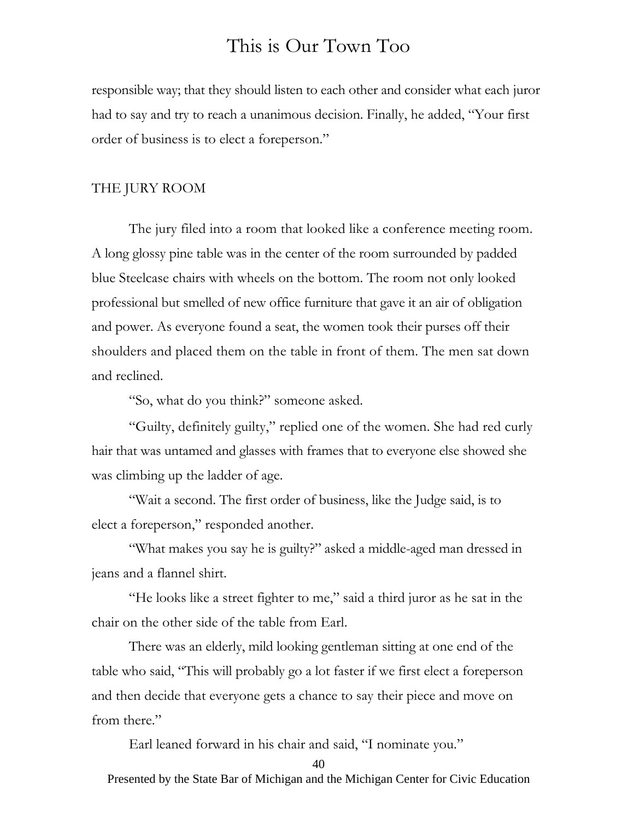responsible way; that they should listen to each other and consider what each juror had to say and try to reach a unanimous decision. Finally, he added, "Your first order of business is to elect a foreperson."

#### THE JURY ROOM

The jury filed into a room that looked like a conference meeting room. A long glossy pine table was in the center of the room surrounded by padded blue Steelcase chairs with wheels on the bottom. The room not only looked professional but smelled of new office furniture that gave it an air of obligation and power. As everyone found a seat, the women took their purses off their shoulders and placed them on the table in front of them. The men sat down and reclined.

"So, what do you think?" someone asked.

"Guilty, definitely guilty," replied one of the women. She had red curly hair that was untamed and glasses with frames that to everyone else showed she was climbing up the ladder of age.

"Wait a second. The first order of business, like the Judge said, is to elect a foreperson," responded another.

"What makes you say he is guilty?" asked a middle-aged man dressed in jeans and a flannel shirt.

"He looks like a street fighter to me," said a third juror as he sat in the chair on the other side of the table from Earl.

There was an elderly, mild looking gentleman sitting at one end of the table who said, "This will probably go a lot faster if we first elect a foreperson and then decide that everyone gets a chance to say their piece and move on from there."

Earl leaned forward in his chair and said, "I nominate you."

40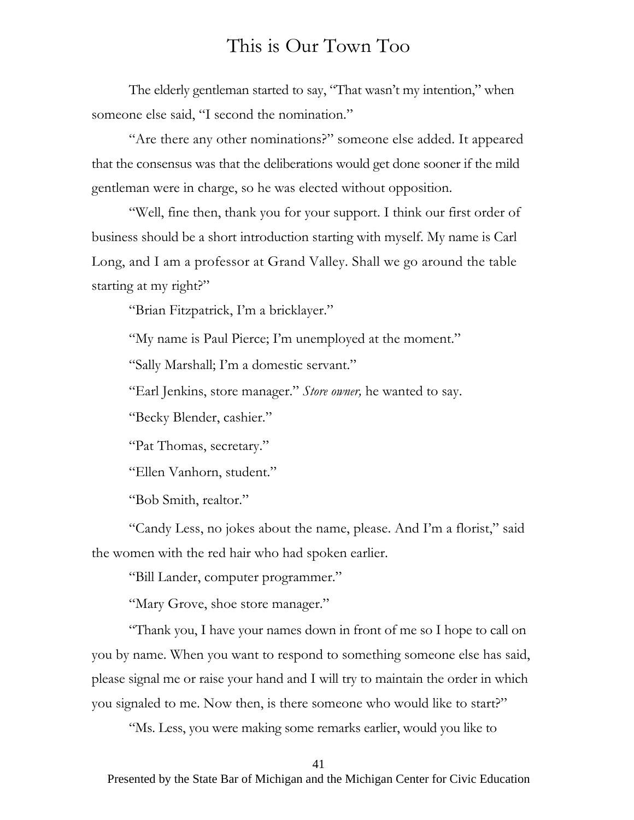The elderly gentleman started to say, "That wasn't my intention," when someone else said, "I second the nomination."

"Are there any other nominations?" someone else added. It appeared that the consensus was that the deliberations would get done sooner if the mild gentleman were in charge, so he was elected without opposition.

"Well, fine then, thank you for your support. I think our first order of business should be a short introduction starting with myself. My name is Carl Long, and I am a professor at Grand Valley. Shall we go around the table starting at my right?"

"Brian Fitzpatrick, I'm a bricklayer."

"My name is Paul Pierce; I'm unemployed at the moment."

"Sally Marshall; I'm a domestic servant."

"Earl Jenkins, store manager." *Store owner,* he wanted to say.

"Becky Blender, cashier."

"Pat Thomas, secretary."

"Ellen Vanhorn, student."

"Bob Smith, realtor."

"Candy Less, no jokes about the name, please. And I'm a florist," said the women with the red hair who had spoken earlier.

"Bill Lander, computer programmer."

"Mary Grove, shoe store manager."

"Thank you, I have your names down in front of me so I hope to call on you by name. When you want to respond to something someone else has said, please signal me or raise your hand and I will try to maintain the order in which you signaled to me. Now then, is there someone who would like to start?"

"Ms. Less, you were making some remarks earlier, would you like to

41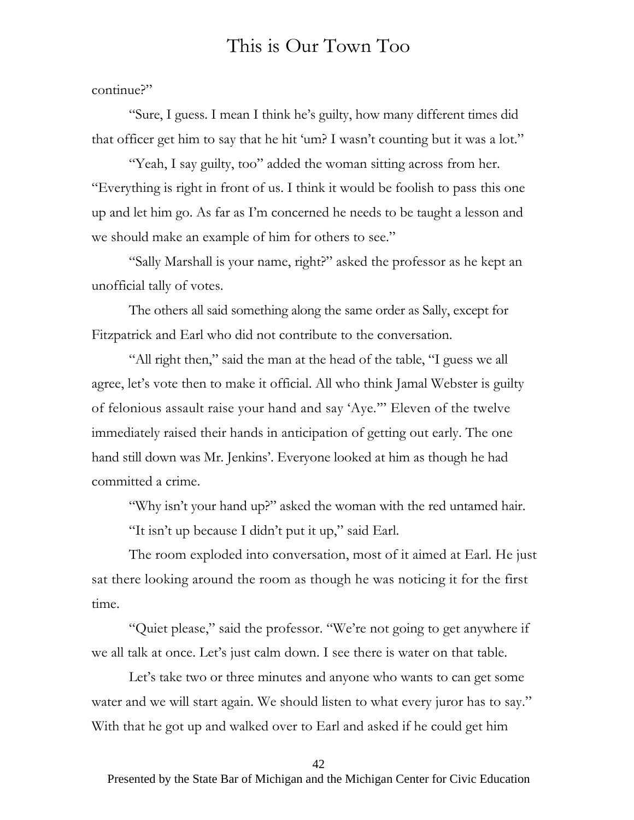continue?"

"Sure, I guess. I mean I think he's guilty, how many different times did that officer get him to say that he hit 'um? I wasn't counting but it was a lot."

"Yeah, I say guilty, too" added the woman sitting across from her. "Everything is right in front of us. I think it would be foolish to pass this one up and let him go. As far as I'm concerned he needs to be taught a lesson and we should make an example of him for others to see."

"Sally Marshall is your name, right?" asked the professor as he kept an unofficial tally of votes.

The others all said something along the same order as Sally, except for Fitzpatrick and Earl who did not contribute to the conversation.

"All right then," said the man at the head of the table, "I guess we all agree, let's vote then to make it official. All who think Jamal Webster is guilty of felonious assault raise your hand and say 'Aye.'" Eleven of the twelve immediately raised their hands in anticipation of getting out early. The one hand still down was Mr. Jenkins'. Everyone looked at him as though he had committed a crime.

"Why isn't your hand up?" asked the woman with the red untamed hair.

"It isn't up because I didn't put it up," said Earl.

The room exploded into conversation, most of it aimed at Earl. He just sat there looking around the room as though he was noticing it for the first time.

"Quiet please," said the professor. "We're not going to get anywhere if we all talk at once. Let's just calm down. I see there is water on that table.

Let's take two or three minutes and anyone who wants to can get some water and we will start again. We should listen to what every juror has to say." With that he got up and walked over to Earl and asked if he could get him

42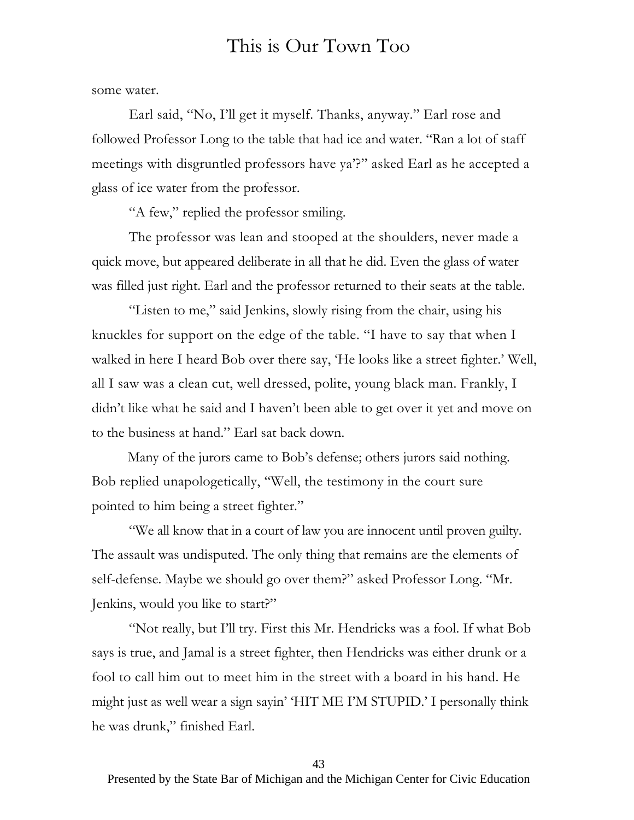some water.

Earl said, "No, I'll get it myself. Thanks, anyway." Earl rose and followed Professor Long to the table that had ice and water. "Ran a lot of staff meetings with disgruntled professors have ya'?" asked Earl as he accepted a glass of ice water from the professor.

"A few," replied the professor smiling.

The professor was lean and stooped at the shoulders, never made a quick move, but appeared deliberate in all that he did. Even the glass of water was filled just right. Earl and the professor returned to their seats at the table.

"Listen to me," said Jenkins, slowly rising from the chair, using his knuckles for support on the edge of the table. "I have to say that when I walked in here I heard Bob over there say, 'He looks like a street fighter.' Well, all I saw was a clean cut, well dressed, polite, young black man. Frankly, I didn't like what he said and I haven't been able to get over it yet and move on to the business at hand." Earl sat back down.

Many of the jurors came to Bob's defense; others jurors said nothing. Bob replied unapologetically, "Well, the testimony in the court sure pointed to him being a street fighter."

"We all know that in a court of law you are innocent until proven guilty. The assault was undisputed. The only thing that remains are the elements of self-defense. Maybe we should go over them?" asked Professor Long. "Mr. Jenkins, would you like to start?"

"Not really, but I'll try. First this Mr. Hendricks was a fool. If what Bob says is true, and Jamal is a street fighter, then Hendricks was either drunk or a fool to call him out to meet him in the street with a board in his hand. He might just as well wear a sign sayin' 'HIT ME I'M STUPID.' I personally think he was drunk," finished Earl.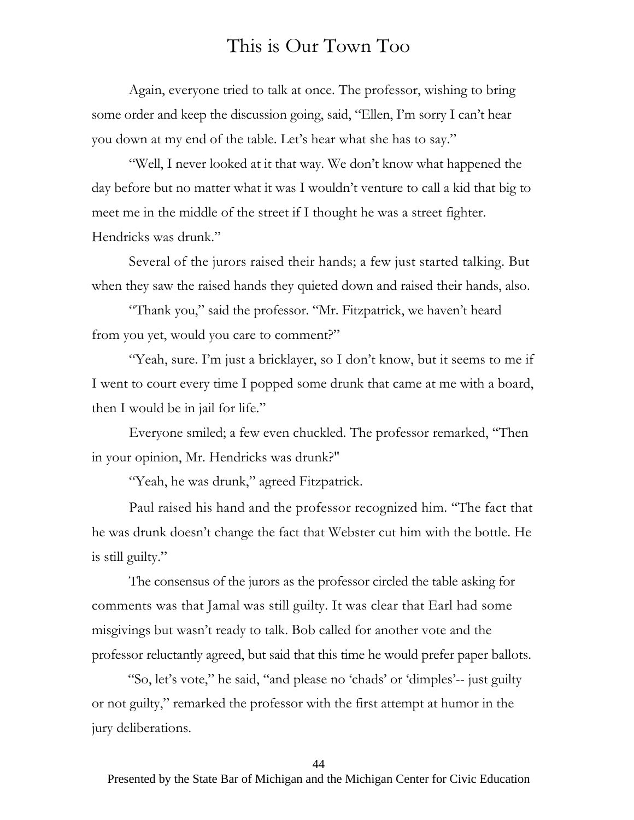Again, everyone tried to talk at once. The professor, wishing to bring some order and keep the discussion going, said, "Ellen, I'm sorry I can't hear you down at my end of the table. Let's hear what she has to say."

"Well, I never looked at it that way. We don't know what happened the day before but no matter what it was I wouldn't venture to call a kid that big to meet me in the middle of the street if I thought he was a street fighter. Hendricks was drunk."

Several of the jurors raised their hands; a few just started talking. But when they saw the raised hands they quieted down and raised their hands, also.

"Thank you," said the professor. "Mr. Fitzpatrick, we haven't heard from you yet, would you care to comment?"

"Yeah, sure. I'm just a bricklayer, so I don't know, but it seems to me if I went to court every time I popped some drunk that came at me with a board, then I would be in jail for life."

Everyone smiled; a few even chuckled. The professor remarked, "Then in your opinion, Mr. Hendricks was drunk?"

"Yeah, he was drunk," agreed Fitzpatrick.

Paul raised his hand and the professor recognized him. "The fact that he was drunk doesn't change the fact that Webster cut him with the bottle. He is still guilty."

The consensus of the jurors as the professor circled the table asking for comments was that Jamal was still guilty. It was clear that Earl had some misgivings but wasn't ready to talk. Bob called for another vote and the professor reluctantly agreed, but said that this time he would prefer paper ballots.

"So, let's vote," he said, "and please no 'chads' or 'dimples'-- just guilty or not guilty," remarked the professor with the first attempt at humor in the jury deliberations.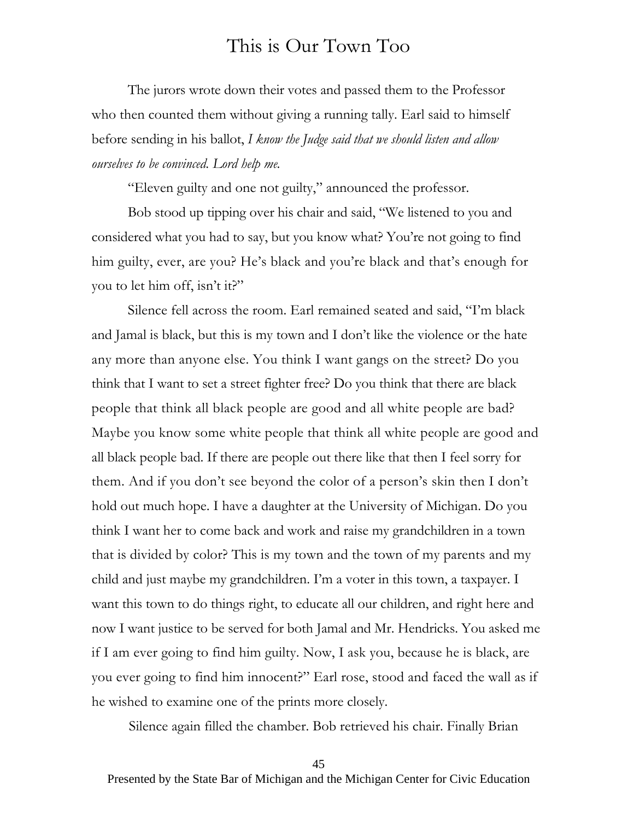The jurors wrote down their votes and passed them to the Professor who then counted them without giving a running tally. Earl said to himself before sending in his ballot, *I know the Judge said that we should listen and allow ourselves to be convinced. Lord help me.* 

"Eleven guilty and one not guilty," announced the professor.

Bob stood up tipping over his chair and said, "We listened to you and considered what you had to say, but you know what? You're not going to find him guilty, ever, are you? He's black and you're black and that's enough for you to let him off, isn't it?"

Silence fell across the room. Earl remained seated and said, "I'm black and Jamal is black, but this is my town and I don't like the violence or the hate any more than anyone else. You think I want gangs on the street? Do you think that I want to set a street fighter free? Do you think that there are black people that think all black people are good and all white people are bad? Maybe you know some white people that think all white people are good and all black people bad. If there are people out there like that then I feel sorry for them. And if you don't see beyond the color of a person's skin then I don't hold out much hope. I have a daughter at the University of Michigan. Do you think I want her to come back and work and raise my grandchildren in a town that is divided by color? This is my town and the town of my parents and my child and just maybe my grandchildren. I'm a voter in this town, a taxpayer. I want this town to do things right, to educate all our children, and right here and now I want justice to be served for both Jamal and Mr. Hendricks. You asked me if I am ever going to find him guilty. Now, I ask you, because he is black, are you ever going to find him innocent?" Earl rose, stood and faced the wall as if he wished to examine one of the prints more closely.

Silence again filled the chamber. Bob retrieved his chair. Finally Brian

45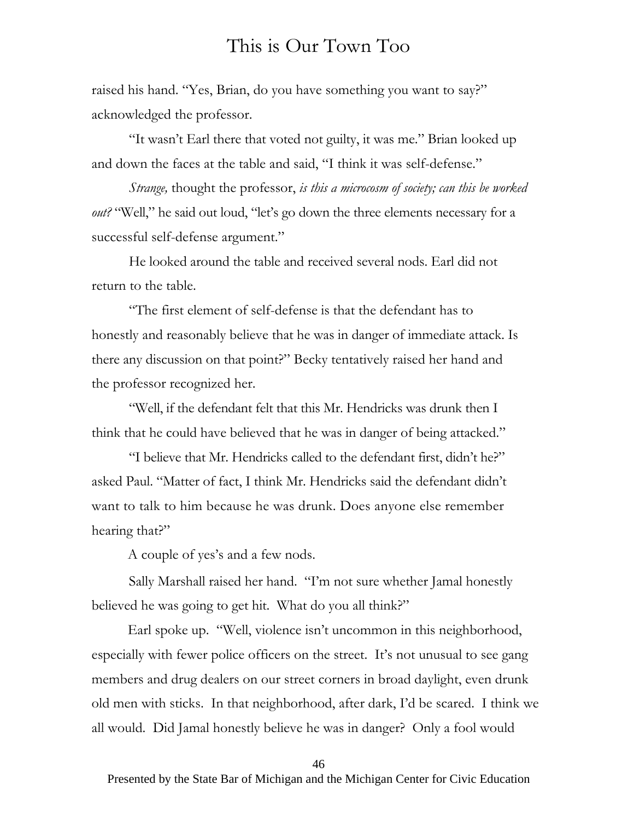raised his hand. "Yes, Brian, do you have something you want to say?" acknowledged the professor.

"It wasn't Earl there that voted not guilty, it was me." Brian looked up and down the faces at the table and said, "I think it was self-defense."

*Strange,* thought the professor, *is this a microcosm of society; can this be worked out?* "Well," he said out loud, "let's go down the three elements necessary for a successful self-defense argument."

He looked around the table and received several nods. Earl did not return to the table.

"The first element of self-defense is that the defendant has to honestly and reasonably believe that he was in danger of immediate attack. Is there any discussion on that point?" Becky tentatively raised her hand and the professor recognized her.

"Well, if the defendant felt that this Mr. Hendricks was drunk then I think that he could have believed that he was in danger of being attacked."

"I believe that Mr. Hendricks called to the defendant first, didn't he?" asked Paul. "Matter of fact, I think Mr. Hendricks said the defendant didn't want to talk to him because he was drunk. Does anyone else remember hearing that?"

A couple of yes's and a few nods.

Sally Marshall raised her hand. "I'm not sure whether Jamal honestly believed he was going to get hit. What do you all think?"

Earl spoke up. "Well, violence isn't uncommon in this neighborhood, especially with fewer police officers on the street. It's not unusual to see gang members and drug dealers on our street corners in broad daylight, even drunk old men with sticks. In that neighborhood, after dark, I'd be scared. I think we all would. Did Jamal honestly believe he was in danger? Only a fool would

46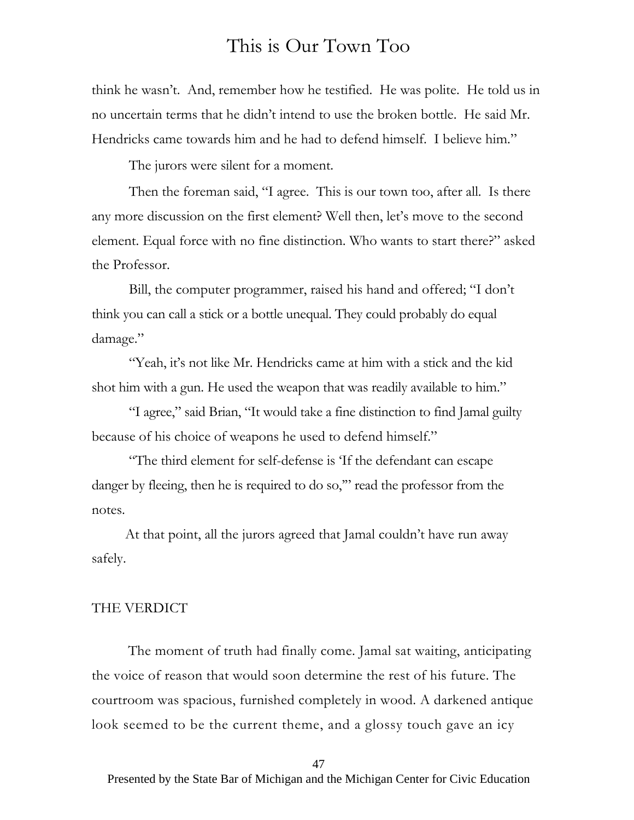think he wasn't. And, remember how he testified. He was polite. He told us in no uncertain terms that he didn't intend to use the broken bottle. He said Mr. Hendricks came towards him and he had to defend himself. I believe him."

The jurors were silent for a moment.

Then the foreman said, "I agree. This is our town too, after all. Is there any more discussion on the first element? Well then, let's move to the second element. Equal force with no fine distinction. Who wants to start there?" asked the Professor.

Bill, the computer programmer, raised his hand and offered; "I don't think you can call a stick or a bottle unequal. They could probably do equal damage."

"Yeah, it's not like Mr. Hendricks came at him with a stick and the kid shot him with a gun. He used the weapon that was readily available to him."

"I agree," said Brian, "It would take a fine distinction to find Jamal guilty because of his choice of weapons he used to defend himself."

"The third element for self-defense is 'If the defendant can escape danger by fleeing, then he is required to do so," read the professor from the notes.

At that point, all the jurors agreed that Jamal couldn't have run away safely.

#### THE VERDICT

The moment of truth had finally come. Jamal sat waiting, anticipating the voice of reason that would soon determine the rest of his future. The courtroom was spacious, furnished completely in wood. A darkened antique look seemed to be the current theme, and a glossy touch gave an icy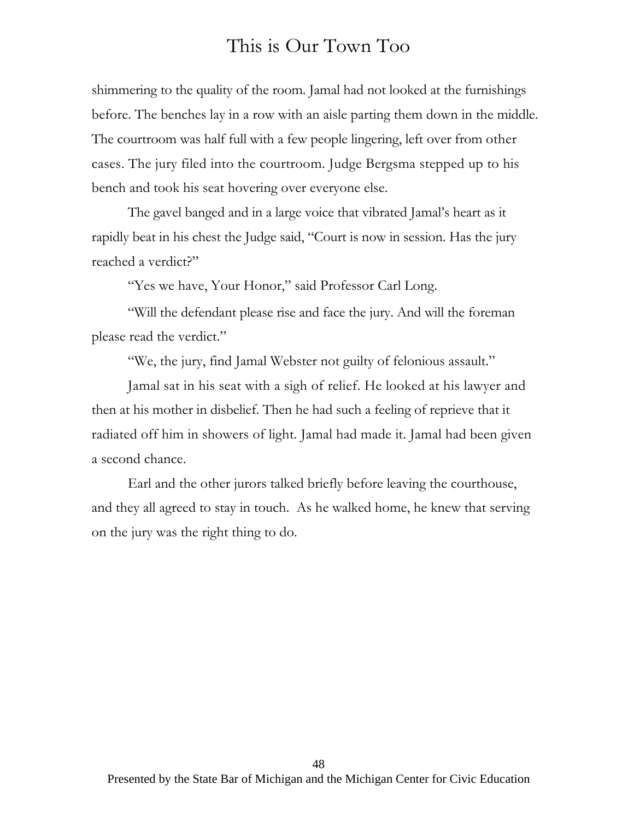shimmering to the quality of the room. Jamal had not looked at the furnishings before. The benches lay in a row with an aisle parting them down in the middle. The courtroom was half full with a few people lingering, left over from other cases. The jury filed into the courtroom. Judge Bergsma stepped up to his bench and took his seat hovering over everyone else.

The gavel banged and in a large voice that vibrated Jamal's heart as it rapidly beat in his chest the Judge said, "Court is now in session. Has the jury reached a verdict?"

"Yes we have, Your Honor," said Professor Carl Long.

"Will the defendant please rise and face the jury. And will the foreman please read the verdict."

"We, the jury, find Jamal Webster not guilty of felonious assault."

Jamal sat in his seat with a sigh of relief. He looked at his lawyer and then at his mother in disbelief. Then he had such a feeling of reprieve that it radiated off him in showers of light. Jamal had made it. Jamal had been given a second chance.

Earl and the other jurors talked briefly before leaving the courthouse, and they all agreed to stay in touch. As he walked home, he knew that serving on the jury was the right thing to do.